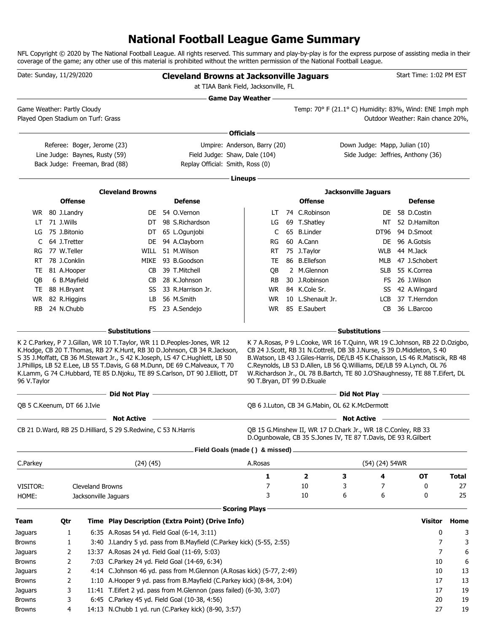### **National Football League Game Summary**

NFL Copyright © 2020 by The National Football League. All rights reserved. This summary and play-by-play is for the express purpose of assisting media in their coverage of the game; any other use of this material is prohibited without the written permission of the National Football League.

| Date: Sunday, 11/29/2020 |                            |                                                               |                                                               | <b>Cleveland Browns at Jacksonville Jaguars</b>                                                                                                                                                                                           | at TIAA Bank Field, Jacksonville, FL |                                   |                                                                                                                                                                                                                                     | Start Time: 1:02 PM EST           |              |
|--------------------------|----------------------------|---------------------------------------------------------------|---------------------------------------------------------------|-------------------------------------------------------------------------------------------------------------------------------------------------------------------------------------------------------------------------------------------|--------------------------------------|-----------------------------------|-------------------------------------------------------------------------------------------------------------------------------------------------------------------------------------------------------------------------------------|-----------------------------------|--------------|
|                          |                            | Game Weather: Partly Cloudy                                   |                                                               |                                                                                                                                                                                                                                           | <b>Game Day Weather --</b>           |                                   | Temp: 70° F (21.1° C) Humidity: 83%, Wind: ENE 1mph mph                                                                                                                                                                             |                                   |              |
|                          |                            | Played Open Stadium on Turf: Grass                            |                                                               |                                                                                                                                                                                                                                           |                                      |                                   |                                                                                                                                                                                                                                     | Outdoor Weather: Rain chance 20%, |              |
|                          |                            |                                                               |                                                               |                                                                                                                                                                                                                                           | Officials -                          |                                   |                                                                                                                                                                                                                                     |                                   |              |
|                          |                            | Referee: Boger, Jerome (23)<br>Line Judge: Baynes, Rusty (59) |                                                               | Field Judge: Shaw, Dale (104)                                                                                                                                                                                                             | Umpire: Anderson, Barry (20)         |                                   | Down Judge: Mapp, Julian (10)<br>Side Judge: Jeffries, Anthony (36)                                                                                                                                                                 |                                   |              |
|                          |                            | Back Judge: Freeman, Brad (88)                                |                                                               | Replay Official: Smith, Ross (0)                                                                                                                                                                                                          |                                      |                                   |                                                                                                                                                                                                                                     |                                   |              |
|                          |                            |                                                               |                                                               |                                                                                                                                                                                                                                           | Lineups -                            |                                   |                                                                                                                                                                                                                                     |                                   |              |
|                          |                            |                                                               | <b>Cleveland Browns</b>                                       |                                                                                                                                                                                                                                           |                                      |                                   | <b>Jacksonville Jaguars</b>                                                                                                                                                                                                         |                                   |              |
|                          |                            | <b>Offense</b>                                                |                                                               | <b>Defense</b>                                                                                                                                                                                                                            |                                      | <b>Offense</b>                    |                                                                                                                                                                                                                                     | <b>Defense</b>                    |              |
|                          | WR 80 J.Landry             |                                                               |                                                               | DE 54 O.Vernon                                                                                                                                                                                                                            | LT                                   | 74 C.Robinson                     | DE.                                                                                                                                                                                                                                 | 58 D.Costin                       |              |
| LT                       | 71 J.Wills                 |                                                               | DT                                                            | 98 S.Richardson                                                                                                                                                                                                                           | LG                                   | 69 T.Shatley                      | NT                                                                                                                                                                                                                                  | 52 D.Hamilton                     |              |
| LG                       | 75 J.Bitonio               |                                                               |                                                               | DT 65 L.Ogunjobi                                                                                                                                                                                                                          | C                                    | 65 B.Linder                       | DT96                                                                                                                                                                                                                                | 94 D.Smoot                        |              |
| C                        | 64 J.Tretter               |                                                               | DE                                                            | 94 A.Clayborn                                                                                                                                                                                                                             | RG                                   | 60 A.Cann                         | DE.                                                                                                                                                                                                                                 | 96 A.Gotsis                       |              |
| RG                       | 77 W.Teller                |                                                               | WILL                                                          | 51 M.Wilson                                                                                                                                                                                                                               | RT                                   | 75 J.Taylor                       | WLB                                                                                                                                                                                                                                 | 44 M.Jack                         |              |
| RT                       | 78 J.Conklin               |                                                               | MIKE                                                          | 93 B.Goodson                                                                                                                                                                                                                              | TE                                   | 86 B.Ellefson                     | MLB                                                                                                                                                                                                                                 | 47 J.Schobert                     |              |
| TE                       | 81 A.Hooper                |                                                               | CB                                                            | 39 T.Mitchell                                                                                                                                                                                                                             | QB                                   | 2 M.Glennon                       | <b>SLB</b>                                                                                                                                                                                                                          | 55 K.Correa                       |              |
| QB                       | 6 B.Mayfield               |                                                               | CB                                                            | 28 K.Johnson                                                                                                                                                                                                                              | RB                                   | 30 J.Robinson                     | FS.                                                                                                                                                                                                                                 | 26 J.Wilson                       |              |
| TE                       | 88 H.Bryant                |                                                               | SS                                                            | 33 R.Harrison Jr.                                                                                                                                                                                                                         | WR.                                  | 84 K.Cole Sr.                     | SS                                                                                                                                                                                                                                  | 42 A.Wingard                      |              |
| <b>WR</b><br><b>RB</b>   | 82 R.Higgins<br>24 N.Chubb |                                                               | LB<br>FS                                                      | 56 M.Smith<br>23 A.Sendejo                                                                                                                                                                                                                | <b>WR</b><br>WR.                     | 10 L.Shenault Jr.<br>85 E.Saubert | <b>LCB</b><br>CB                                                                                                                                                                                                                    | 37 T.Herndon<br>36 L.Barcoo       |              |
|                          |                            |                                                               |                                                               |                                                                                                                                                                                                                                           |                                      |                                   |                                                                                                                                                                                                                                     |                                   |              |
|                          |                            |                                                               | <b>Substitutions</b>                                          |                                                                                                                                                                                                                                           |                                      |                                   | <b>Substitutions</b>                                                                                                                                                                                                                |                                   |              |
| 96 V.Taylor              |                            |                                                               |                                                               | S 35 J.Moffatt, CB 36 M.Stewart Jr., S 42 K.Joseph, LS 47 C.Hughlett, LB 50<br>J.Phillips, LB 52 E.Lee, LB 55 T.Davis, G 68 M.Dunn, DE 69 C.Malveaux, T 70<br>K.Lamm, G 74 C.Hubbard, TE 85 D.Njoku, TE 89 S.Carlson, DT 90 J.Elliott, DT | 90 T.Bryan, DT 99 D.Ekuale           |                                   | B.Watson, LB 43 J.Giles-Harris, DE/LB 45 K.Chaisson, LS 46 R.Matiscik, RB 48<br>C.Reynolds, LB 53 D.Allen, LB 56 Q.Williams, DE/LB 59 A.Lynch, OL 76<br>W.Richardson Jr., OL 78 B.Bartch, TE 80 J.O'Shaughnessy, TE 88 T.Eifert, DL |                                   |              |
|                          |                            |                                                               |                                                               |                                                                                                                                                                                                                                           |                                      |                                   |                                                                                                                                                                                                                                     |                                   |              |
|                          |                            | QB 5 C.Keenum, DT 66 J.Ivie                                   |                                                               |                                                                                                                                                                                                                                           |                                      |                                   | QB 6 J.Luton, CB 34 G.Mabin, OL 62 K.McDermott                                                                                                                                                                                      |                                   |              |
|                          |                            |                                                               | <b>Not Active</b>                                             | the control of the control of the control of the control of the control of the control of                                                                                                                                                 |                                      |                                   | <b>Not Active</b>                                                                                                                                                                                                                   |                                   |              |
|                          |                            |                                                               | CB 21 D.Ward, RB 25 D.Hilliard, S 29 S.Redwine, C 53 N.Harris |                                                                                                                                                                                                                                           |                                      |                                   | QB 15 G.Minshew II, WR 17 D.Chark Jr., WR 18 C.Conley, RB 33<br>D.Ogunbowale, CB 35 S.Jones IV, TE 87 T.Davis, DE 93 R.Gilbert                                                                                                      |                                   |              |
|                          |                            |                                                               |                                                               |                                                                                                                                                                                                                                           | Field Goals (made () & missed).      |                                   |                                                                                                                                                                                                                                     |                                   |              |
| C.Parkey                 |                            |                                                               | $(24)$ $(45)$                                                 |                                                                                                                                                                                                                                           | A.Rosas                              |                                   | (54) (24) 54WR                                                                                                                                                                                                                      |                                   |              |
|                          |                            |                                                               |                                                               |                                                                                                                                                                                                                                           | 1                                    | $\overline{\mathbf{2}}$           | з<br>4                                                                                                                                                                                                                              | <b>OT</b>                         | <b>Total</b> |
| VISITOR:                 |                            | <b>Cleveland Browns</b>                                       |                                                               |                                                                                                                                                                                                                                           | 7                                    | 10                                | 3<br>7                                                                                                                                                                                                                              | 0                                 | 27           |
| HOME:                    |                            | Jacksonville Jaguars                                          |                                                               |                                                                                                                                                                                                                                           | 3                                    | 10                                | 6<br>6                                                                                                                                                                                                                              | 0                                 | 25           |
|                          |                            |                                                               |                                                               |                                                                                                                                                                                                                                           | <b>Scoring Plays</b>                 |                                   |                                                                                                                                                                                                                                     |                                   |              |
| <b>Team</b>              | Qtr                        |                                                               |                                                               | Time Play Description (Extra Point) (Drive Info)                                                                                                                                                                                          |                                      |                                   |                                                                                                                                                                                                                                     | Visitor                           | Home         |
| Jaguars                  | 1                          |                                                               | 6:35 A.Rosas 54 yd. Field Goal (6-14, 3:11)                   |                                                                                                                                                                                                                                           |                                      |                                   |                                                                                                                                                                                                                                     | 0                                 | 3            |
| Browns                   | 1                          |                                                               |                                                               | 3:40 J. Landry 5 yd. pass from B. Mayfield (C. Parkey kick) (5-55, 2:55)                                                                                                                                                                  |                                      |                                   |                                                                                                                                                                                                                                     | 7                                 | 3            |
| Jaguars                  | 2                          |                                                               | 13:37 A.Rosas 24 yd. Field Goal (11-69, 5:03)                 |                                                                                                                                                                                                                                           |                                      |                                   |                                                                                                                                                                                                                                     | 7                                 | 6            |
| Browns                   | 2                          |                                                               | 7:03 C.Parkey 24 yd. Field Goal (14-69, 6:34)                 |                                                                                                                                                                                                                                           |                                      |                                   |                                                                                                                                                                                                                                     | 10                                | 6            |
| Jaguars                  | 2                          |                                                               |                                                               | 4:14 C.Johnson 46 yd. pass from M.Glennon (A.Rosas kick) (5-77, 2:49)                                                                                                                                                                     |                                      |                                   |                                                                                                                                                                                                                                     | 10                                | 13           |
| <b>Browns</b>            | 2                          |                                                               |                                                               | 1:10 A.Hooper 9 yd. pass from B.Mayfield (C.Parkey kick) (8-84, 3:04)                                                                                                                                                                     |                                      |                                   |                                                                                                                                                                                                                                     | 17                                | 13           |
| Jaguars                  | 3                          |                                                               |                                                               | 11:41 T.Eifert 2 yd. pass from M.Glennon (pass failed) (6-30, 3:07)                                                                                                                                                                       |                                      |                                   |                                                                                                                                                                                                                                     | 17                                | 19           |
| <b>Browns</b>            | 3                          |                                                               | 6:45 C.Parkey 45 yd. Field Goal (10-38, 4:56)                 |                                                                                                                                                                                                                                           |                                      |                                   |                                                                                                                                                                                                                                     | 20                                | 19           |
| Browns                   | 4                          |                                                               |                                                               | 14:13 N.Chubb 1 yd. run (C.Parkey kick) (8-90, 3:57)                                                                                                                                                                                      |                                      |                                   |                                                                                                                                                                                                                                     | 27                                | 19           |
|                          |                            |                                                               |                                                               |                                                                                                                                                                                                                                           |                                      |                                   |                                                                                                                                                                                                                                     |                                   |              |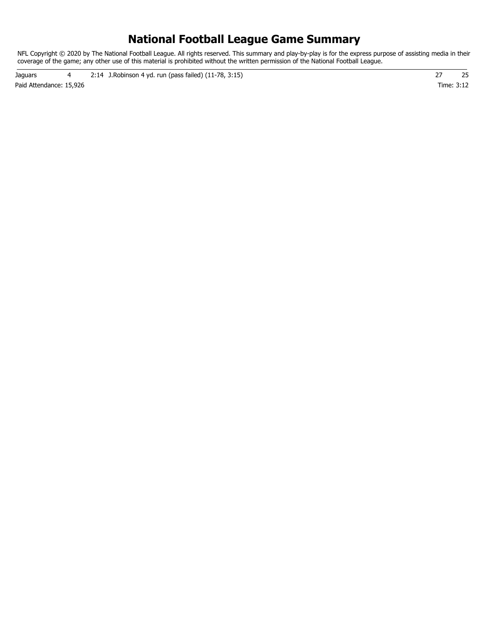### **National Football League Game Summary**

NFL Copyright © 2020 by The National Football League. All rights reserved. This summary and play-by-play is for the express purpose of assisting media in their coverage of the game; any other use of this material is prohibited without the written permission of the National Football League.

Paid Attendance: 15,926 Time: 3:12 Jaguars 4 2:14 J.Robinson 4 yd. run (pass failed) (11-78, 3:15) 27 25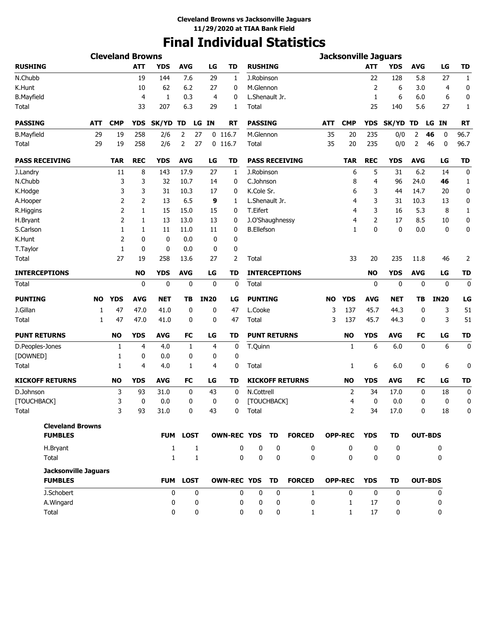# **Final Individual Statistics**

| <b>ATT</b><br><b>ATT</b><br><b>YDS</b><br><b>AVG</b><br>LG<br><b>TD</b><br><b>YDS</b><br><b>AVG</b><br>LG<br>TD<br><b>RUSHING</b><br>19<br>144<br>7.6<br>29<br>J.Robinson<br>22<br>128<br>5.8<br>27<br>$\mathbf{1}$<br>1<br>10<br>62<br>6.2<br>27<br>M.Glennon<br>2<br>6<br>0<br>0<br>3.0<br>$\overline{4}$<br>1<br>0.3<br>L.Shenault Jr.<br>$\mathbf{1}$<br>6<br>6.0<br>0<br>4<br>4<br>0<br>6<br>33<br>207<br>6.3<br>29<br>25<br>5.6<br>27<br>1<br>1<br>Total<br>140<br><b>CMP</b><br>SK/YD<br><b>PASSING</b><br><b>IN</b><br><b>YDS</b><br>TD<br>LG IN<br>RT<br><b>ATT</b><br><b>CMP</b><br>YDS<br>SK/YD TD<br><b>RT</b><br>ATT<br>LG<br>96.7<br>29<br>19<br>258<br>2<br>27<br>$0$ 116.7<br>M.Glennon<br>35<br>20<br>235<br>0/0<br>2<br>46<br>2/6<br>0<br>258<br>35<br>0/0<br>46<br>96.7<br>29<br>2/6<br>2<br>27<br>$0$ 116.7<br>235<br>2<br>0<br>19<br>Total<br>20<br><b>TD</b><br><b>TAR</b><br><b>REC</b><br><b>YDS</b><br><b>AVG</b><br><b>TD</b><br><b>PASS RECEIVING</b><br><b>TAR</b><br><b>REC</b><br><b>YDS</b><br><b>AVG</b><br>LG<br>LG<br>8<br>143<br>17.9<br>J.Robinson<br>6<br>6.2<br>0<br>11<br>27<br>5<br>31<br>14<br>1<br>3<br>3<br>32<br>10.7<br>C.Johnson<br>24.0<br>14<br>0<br>8<br>4<br>96<br>46<br>1<br>K.Cole Sr.<br>3<br>3<br>31<br>10.3<br>17<br>6<br>14.7<br>0<br>0<br>3<br>44<br>20<br>2<br>2<br>13<br>6.5<br>9<br>3<br>10.3<br>0<br>L.Shenault Jr.<br>4<br>31<br>13<br>1<br>2<br>15<br>15.0<br>15<br>T.Eifert<br>3<br>5.3<br>8<br>$\mathbf{1}$<br>1<br>0<br>4<br>16<br>2<br>2<br>13<br>13.0<br>13<br>J.O'Shaughnessy<br>17<br>8.5<br>10<br>0<br>1<br>0<br>4<br>$\mathbf{0}$<br><b>B.Ellefson</b><br>0<br>0.0<br>$\mathbf 0$<br>0<br>1<br>1<br>11<br>11.0<br>11<br>0<br>1<br>$\overline{2}$<br>$\mathbf 0$<br>0<br>0.0<br>0<br>0<br>1<br>0<br>0<br>0.0<br>0<br>0<br>27<br>2<br>33<br>2<br>19<br>258<br>13.6<br>27<br>Total<br>20<br>235<br>11.8<br>46<br><b>NO</b><br><b>AVG</b><br>LG<br><b>INTERCEPTIONS</b><br><b>YDS</b><br><b>AVG</b><br><b>TD</b><br><b>YDS</b><br>TD<br>NO<br>LG<br>0<br>$\mathbf 0$<br>$\mathbf 0$<br>0<br>$\mathbf 0$<br>Total<br>0<br>$\mathbf 0$<br>$\mathbf 0$<br>0<br>0<br><b>YDS</b><br><b>IN20</b><br><b>PUNTING</b><br><b>IN20</b><br>LG<br>NO<br>AVG<br><b>NET</b><br>TB<br>LG<br><b>NO</b><br><b>YDS</b><br><b>AVG</b><br>NET<br>TΒ<br>3<br>51<br>47<br>47.0<br>41.0<br>0<br>0<br>47<br>L.Cooke<br>3<br>137<br>45.7<br>44.3<br>0<br>1<br>47.0<br>3<br>45.7<br>3<br>51<br>1<br>47<br>41.0<br>0<br>0<br>47<br>Total<br>137<br>44.3<br>0<br><b>NO</b><br><b>YDS</b><br><b>AVG</b><br>FC<br>LG<br><b>PUNT RETURNS</b><br><b>YDS</b><br><b>AVG</b><br><b>FC</b><br>LG<br><b>TD</b><br>TD<br><b>NO</b><br>6<br>6<br>$\mathbf 0$<br>4.0<br>4<br>0<br>T.Quinn<br>1<br>6.0<br>0<br>1<br>4<br>1<br>0<br>0.0<br>0<br>0<br>1<br>0<br>0<br>4.0<br>0<br>6<br>6.0<br>6<br>1<br>4<br>1<br>4<br>Total<br>1<br>0<br><b>NO</b><br><b>YDS</b><br><b>AVG</b><br><b>FC</b><br>LG<br><b>TD</b><br><b>KICKOFF RETURNS</b><br><b>YDS</b><br><b>AVG</b><br><b>TD</b><br><b>NO</b><br>FC<br>LG<br>0<br>3<br>93<br>31.0<br>0<br>43<br>0<br>N.Cottrell<br>2<br>34<br>17.0<br>0<br>18<br>3<br>0<br>0.0<br>0<br>0<br>[TOUCHBACK]<br>0<br>0.0<br>0<br>0<br>0<br>0<br>4<br>3<br>93<br>31.0<br>$\pmb{0}$<br>43<br>$\mathbf 0$<br>Total<br>2<br>34<br>17.0<br>0<br>18<br>$\Omega$<br><b>Cleveland Browns</b><br><b>FUMBLES</b><br>FUM LOST<br>OWN-REC YDS TD<br><b>FORCED</b><br><b>YDS</b><br><b>OUT-BDS</b><br><b>OPP-REC</b><br>TD<br>$\mathbf{1}$<br>$\Omega$<br>0<br>$\mathbf{0}$<br>$\mathbf{0}$<br>$\mathbf{0}$<br>H.Bryant<br>$\mathbf{1}$<br>0<br>0<br>0<br>$\mathbf 0$<br>Total<br>0<br>$\mathbf 0$<br>$\mathbf{0}$<br>0<br>$\mathbf 0$<br>$\mathbf{1}$<br>$\mathbf{1}$<br>$\mathbf{0}$<br>0<br><b>Jacksonville Jaguars</b><br>FUM LOST<br>OWN-REC YDS TD<br><b>FORCED</b><br><b>OPP-REC</b><br><b>OUT-BDS</b><br><b>FUMBLES</b><br><b>YDS</b><br>TD<br>J.Schobert<br>0<br>0<br>0<br>0<br>0<br>$\mathbf{0}$<br>$\mathbf{0}$<br>0<br>$\mathbf{1}$<br>0<br>0<br>0<br>$\mathbf 0$<br>$\mathbf 0$<br>17<br>0<br>A.Wingard<br>0<br>0<br>$\mathbf{1}$<br>0<br>Total<br>$\mathbf 0$<br>$\mathbf 0$<br>17<br>0<br>0<br>0<br>$\mathbf{1}$<br>0<br>0<br>$\mathbf{1}$ |                        | <b>Cleveland Browns</b> |  |  |  |  |  | <b>Jacksonville Jaguars</b> |  |  |
|--------------------------------------------------------------------------------------------------------------------------------------------------------------------------------------------------------------------------------------------------------------------------------------------------------------------------------------------------------------------------------------------------------------------------------------------------------------------------------------------------------------------------------------------------------------------------------------------------------------------------------------------------------------------------------------------------------------------------------------------------------------------------------------------------------------------------------------------------------------------------------------------------------------------------------------------------------------------------------------------------------------------------------------------------------------------------------------------------------------------------------------------------------------------------------------------------------------------------------------------------------------------------------------------------------------------------------------------------------------------------------------------------------------------------------------------------------------------------------------------------------------------------------------------------------------------------------------------------------------------------------------------------------------------------------------------------------------------------------------------------------------------------------------------------------------------------------------------------------------------------------------------------------------------------------------------------------------------------------------------------------------------------------------------------------------------------------------------------------------------------------------------------------------------------------------------------------------------------------------------------------------------------------------------------------------------------------------------------------------------------------------------------------------------------------------------------------------------------------------------------------------------------------------------------------------------------------------------------------------------------------------------------------------------------------------------------------------------------------------------------------------------------------------------------------------------------------------------------------------------------------------------------------------------------------------------------------------------------------------------------------------------------------------------------------------------------------------------------------------------------------------------------------------------------------------------------------------------------------------------------------------------------------------------------------------------------------------------------------------------------------------------------------------------------------------------------------------------------------------------------------------------------------------------------------------------------------------------------------------------------------------------------------------------------------------------------------------------------------------------------------------------------------------------------------------------------------------------------------------------------------------------------------------------------------------------------------------------------------------------------------------------------------------------------------------------------------------------------------------------------------------------------------------------------------------------------|------------------------|-------------------------|--|--|--|--|--|-----------------------------|--|--|
|                                                                                                                                                                                                                                                                                                                                                                                                                                                                                                                                                                                                                                                                                                                                                                                                                                                                                                                                                                                                                                                                                                                                                                                                                                                                                                                                                                                                                                                                                                                                                                                                                                                                                                                                                                                                                                                                                                                                                                                                                                                                                                                                                                                                                                                                                                                                                                                                                                                                                                                                                                                                                                                                                                                                                                                                                                                                                                                                                                                                                                                                                                                                                                                                                                                                                                                                                                                                                                                                                                                                                                                                                                                                                                                                                                                                                                                                                                                                                                                                                                                                                                                                                                                                  | <b>RUSHING</b>         |                         |  |  |  |  |  |                             |  |  |
|                                                                                                                                                                                                                                                                                                                                                                                                                                                                                                                                                                                                                                                                                                                                                                                                                                                                                                                                                                                                                                                                                                                                                                                                                                                                                                                                                                                                                                                                                                                                                                                                                                                                                                                                                                                                                                                                                                                                                                                                                                                                                                                                                                                                                                                                                                                                                                                                                                                                                                                                                                                                                                                                                                                                                                                                                                                                                                                                                                                                                                                                                                                                                                                                                                                                                                                                                                                                                                                                                                                                                                                                                                                                                                                                                                                                                                                                                                                                                                                                                                                                                                                                                                                                  | N.Chubb                |                         |  |  |  |  |  |                             |  |  |
|                                                                                                                                                                                                                                                                                                                                                                                                                                                                                                                                                                                                                                                                                                                                                                                                                                                                                                                                                                                                                                                                                                                                                                                                                                                                                                                                                                                                                                                                                                                                                                                                                                                                                                                                                                                                                                                                                                                                                                                                                                                                                                                                                                                                                                                                                                                                                                                                                                                                                                                                                                                                                                                                                                                                                                                                                                                                                                                                                                                                                                                                                                                                                                                                                                                                                                                                                                                                                                                                                                                                                                                                                                                                                                                                                                                                                                                                                                                                                                                                                                                                                                                                                                                                  | K.Hunt                 |                         |  |  |  |  |  |                             |  |  |
|                                                                                                                                                                                                                                                                                                                                                                                                                                                                                                                                                                                                                                                                                                                                                                                                                                                                                                                                                                                                                                                                                                                                                                                                                                                                                                                                                                                                                                                                                                                                                                                                                                                                                                                                                                                                                                                                                                                                                                                                                                                                                                                                                                                                                                                                                                                                                                                                                                                                                                                                                                                                                                                                                                                                                                                                                                                                                                                                                                                                                                                                                                                                                                                                                                                                                                                                                                                                                                                                                                                                                                                                                                                                                                                                                                                                                                                                                                                                                                                                                                                                                                                                                                                                  | <b>B.Mayfield</b>      |                         |  |  |  |  |  |                             |  |  |
|                                                                                                                                                                                                                                                                                                                                                                                                                                                                                                                                                                                                                                                                                                                                                                                                                                                                                                                                                                                                                                                                                                                                                                                                                                                                                                                                                                                                                                                                                                                                                                                                                                                                                                                                                                                                                                                                                                                                                                                                                                                                                                                                                                                                                                                                                                                                                                                                                                                                                                                                                                                                                                                                                                                                                                                                                                                                                                                                                                                                                                                                                                                                                                                                                                                                                                                                                                                                                                                                                                                                                                                                                                                                                                                                                                                                                                                                                                                                                                                                                                                                                                                                                                                                  | Total                  |                         |  |  |  |  |  |                             |  |  |
|                                                                                                                                                                                                                                                                                                                                                                                                                                                                                                                                                                                                                                                                                                                                                                                                                                                                                                                                                                                                                                                                                                                                                                                                                                                                                                                                                                                                                                                                                                                                                                                                                                                                                                                                                                                                                                                                                                                                                                                                                                                                                                                                                                                                                                                                                                                                                                                                                                                                                                                                                                                                                                                                                                                                                                                                                                                                                                                                                                                                                                                                                                                                                                                                                                                                                                                                                                                                                                                                                                                                                                                                                                                                                                                                                                                                                                                                                                                                                                                                                                                                                                                                                                                                  | <b>PASSING</b>         |                         |  |  |  |  |  |                             |  |  |
|                                                                                                                                                                                                                                                                                                                                                                                                                                                                                                                                                                                                                                                                                                                                                                                                                                                                                                                                                                                                                                                                                                                                                                                                                                                                                                                                                                                                                                                                                                                                                                                                                                                                                                                                                                                                                                                                                                                                                                                                                                                                                                                                                                                                                                                                                                                                                                                                                                                                                                                                                                                                                                                                                                                                                                                                                                                                                                                                                                                                                                                                                                                                                                                                                                                                                                                                                                                                                                                                                                                                                                                                                                                                                                                                                                                                                                                                                                                                                                                                                                                                                                                                                                                                  | <b>B.Mayfield</b>      |                         |  |  |  |  |  |                             |  |  |
|                                                                                                                                                                                                                                                                                                                                                                                                                                                                                                                                                                                                                                                                                                                                                                                                                                                                                                                                                                                                                                                                                                                                                                                                                                                                                                                                                                                                                                                                                                                                                                                                                                                                                                                                                                                                                                                                                                                                                                                                                                                                                                                                                                                                                                                                                                                                                                                                                                                                                                                                                                                                                                                                                                                                                                                                                                                                                                                                                                                                                                                                                                                                                                                                                                                                                                                                                                                                                                                                                                                                                                                                                                                                                                                                                                                                                                                                                                                                                                                                                                                                                                                                                                                                  | Total                  |                         |  |  |  |  |  |                             |  |  |
|                                                                                                                                                                                                                                                                                                                                                                                                                                                                                                                                                                                                                                                                                                                                                                                                                                                                                                                                                                                                                                                                                                                                                                                                                                                                                                                                                                                                                                                                                                                                                                                                                                                                                                                                                                                                                                                                                                                                                                                                                                                                                                                                                                                                                                                                                                                                                                                                                                                                                                                                                                                                                                                                                                                                                                                                                                                                                                                                                                                                                                                                                                                                                                                                                                                                                                                                                                                                                                                                                                                                                                                                                                                                                                                                                                                                                                                                                                                                                                                                                                                                                                                                                                                                  | <b>PASS RECEIVING</b>  |                         |  |  |  |  |  |                             |  |  |
|                                                                                                                                                                                                                                                                                                                                                                                                                                                                                                                                                                                                                                                                                                                                                                                                                                                                                                                                                                                                                                                                                                                                                                                                                                                                                                                                                                                                                                                                                                                                                                                                                                                                                                                                                                                                                                                                                                                                                                                                                                                                                                                                                                                                                                                                                                                                                                                                                                                                                                                                                                                                                                                                                                                                                                                                                                                                                                                                                                                                                                                                                                                                                                                                                                                                                                                                                                                                                                                                                                                                                                                                                                                                                                                                                                                                                                                                                                                                                                                                                                                                                                                                                                                                  | J.Landry               |                         |  |  |  |  |  |                             |  |  |
|                                                                                                                                                                                                                                                                                                                                                                                                                                                                                                                                                                                                                                                                                                                                                                                                                                                                                                                                                                                                                                                                                                                                                                                                                                                                                                                                                                                                                                                                                                                                                                                                                                                                                                                                                                                                                                                                                                                                                                                                                                                                                                                                                                                                                                                                                                                                                                                                                                                                                                                                                                                                                                                                                                                                                                                                                                                                                                                                                                                                                                                                                                                                                                                                                                                                                                                                                                                                                                                                                                                                                                                                                                                                                                                                                                                                                                                                                                                                                                                                                                                                                                                                                                                                  | N.Chubb                |                         |  |  |  |  |  |                             |  |  |
|                                                                                                                                                                                                                                                                                                                                                                                                                                                                                                                                                                                                                                                                                                                                                                                                                                                                                                                                                                                                                                                                                                                                                                                                                                                                                                                                                                                                                                                                                                                                                                                                                                                                                                                                                                                                                                                                                                                                                                                                                                                                                                                                                                                                                                                                                                                                                                                                                                                                                                                                                                                                                                                                                                                                                                                                                                                                                                                                                                                                                                                                                                                                                                                                                                                                                                                                                                                                                                                                                                                                                                                                                                                                                                                                                                                                                                                                                                                                                                                                                                                                                                                                                                                                  | K.Hodge                |                         |  |  |  |  |  |                             |  |  |
|                                                                                                                                                                                                                                                                                                                                                                                                                                                                                                                                                                                                                                                                                                                                                                                                                                                                                                                                                                                                                                                                                                                                                                                                                                                                                                                                                                                                                                                                                                                                                                                                                                                                                                                                                                                                                                                                                                                                                                                                                                                                                                                                                                                                                                                                                                                                                                                                                                                                                                                                                                                                                                                                                                                                                                                                                                                                                                                                                                                                                                                                                                                                                                                                                                                                                                                                                                                                                                                                                                                                                                                                                                                                                                                                                                                                                                                                                                                                                                                                                                                                                                                                                                                                  | A.Hooper               |                         |  |  |  |  |  |                             |  |  |
|                                                                                                                                                                                                                                                                                                                                                                                                                                                                                                                                                                                                                                                                                                                                                                                                                                                                                                                                                                                                                                                                                                                                                                                                                                                                                                                                                                                                                                                                                                                                                                                                                                                                                                                                                                                                                                                                                                                                                                                                                                                                                                                                                                                                                                                                                                                                                                                                                                                                                                                                                                                                                                                                                                                                                                                                                                                                                                                                                                                                                                                                                                                                                                                                                                                                                                                                                                                                                                                                                                                                                                                                                                                                                                                                                                                                                                                                                                                                                                                                                                                                                                                                                                                                  | R.Higgins              |                         |  |  |  |  |  |                             |  |  |
|                                                                                                                                                                                                                                                                                                                                                                                                                                                                                                                                                                                                                                                                                                                                                                                                                                                                                                                                                                                                                                                                                                                                                                                                                                                                                                                                                                                                                                                                                                                                                                                                                                                                                                                                                                                                                                                                                                                                                                                                                                                                                                                                                                                                                                                                                                                                                                                                                                                                                                                                                                                                                                                                                                                                                                                                                                                                                                                                                                                                                                                                                                                                                                                                                                                                                                                                                                                                                                                                                                                                                                                                                                                                                                                                                                                                                                                                                                                                                                                                                                                                                                                                                                                                  | H.Bryant               |                         |  |  |  |  |  |                             |  |  |
|                                                                                                                                                                                                                                                                                                                                                                                                                                                                                                                                                                                                                                                                                                                                                                                                                                                                                                                                                                                                                                                                                                                                                                                                                                                                                                                                                                                                                                                                                                                                                                                                                                                                                                                                                                                                                                                                                                                                                                                                                                                                                                                                                                                                                                                                                                                                                                                                                                                                                                                                                                                                                                                                                                                                                                                                                                                                                                                                                                                                                                                                                                                                                                                                                                                                                                                                                                                                                                                                                                                                                                                                                                                                                                                                                                                                                                                                                                                                                                                                                                                                                                                                                                                                  | S.Carlson              |                         |  |  |  |  |  |                             |  |  |
|                                                                                                                                                                                                                                                                                                                                                                                                                                                                                                                                                                                                                                                                                                                                                                                                                                                                                                                                                                                                                                                                                                                                                                                                                                                                                                                                                                                                                                                                                                                                                                                                                                                                                                                                                                                                                                                                                                                                                                                                                                                                                                                                                                                                                                                                                                                                                                                                                                                                                                                                                                                                                                                                                                                                                                                                                                                                                                                                                                                                                                                                                                                                                                                                                                                                                                                                                                                                                                                                                                                                                                                                                                                                                                                                                                                                                                                                                                                                                                                                                                                                                                                                                                                                  | K.Hunt                 |                         |  |  |  |  |  |                             |  |  |
|                                                                                                                                                                                                                                                                                                                                                                                                                                                                                                                                                                                                                                                                                                                                                                                                                                                                                                                                                                                                                                                                                                                                                                                                                                                                                                                                                                                                                                                                                                                                                                                                                                                                                                                                                                                                                                                                                                                                                                                                                                                                                                                                                                                                                                                                                                                                                                                                                                                                                                                                                                                                                                                                                                                                                                                                                                                                                                                                                                                                                                                                                                                                                                                                                                                                                                                                                                                                                                                                                                                                                                                                                                                                                                                                                                                                                                                                                                                                                                                                                                                                                                                                                                                                  | T.Taylor               |                         |  |  |  |  |  |                             |  |  |
|                                                                                                                                                                                                                                                                                                                                                                                                                                                                                                                                                                                                                                                                                                                                                                                                                                                                                                                                                                                                                                                                                                                                                                                                                                                                                                                                                                                                                                                                                                                                                                                                                                                                                                                                                                                                                                                                                                                                                                                                                                                                                                                                                                                                                                                                                                                                                                                                                                                                                                                                                                                                                                                                                                                                                                                                                                                                                                                                                                                                                                                                                                                                                                                                                                                                                                                                                                                                                                                                                                                                                                                                                                                                                                                                                                                                                                                                                                                                                                                                                                                                                                                                                                                                  | Total                  |                         |  |  |  |  |  |                             |  |  |
|                                                                                                                                                                                                                                                                                                                                                                                                                                                                                                                                                                                                                                                                                                                                                                                                                                                                                                                                                                                                                                                                                                                                                                                                                                                                                                                                                                                                                                                                                                                                                                                                                                                                                                                                                                                                                                                                                                                                                                                                                                                                                                                                                                                                                                                                                                                                                                                                                                                                                                                                                                                                                                                                                                                                                                                                                                                                                                                                                                                                                                                                                                                                                                                                                                                                                                                                                                                                                                                                                                                                                                                                                                                                                                                                                                                                                                                                                                                                                                                                                                                                                                                                                                                                  | <b>INTERCEPTIONS</b>   |                         |  |  |  |  |  |                             |  |  |
|                                                                                                                                                                                                                                                                                                                                                                                                                                                                                                                                                                                                                                                                                                                                                                                                                                                                                                                                                                                                                                                                                                                                                                                                                                                                                                                                                                                                                                                                                                                                                                                                                                                                                                                                                                                                                                                                                                                                                                                                                                                                                                                                                                                                                                                                                                                                                                                                                                                                                                                                                                                                                                                                                                                                                                                                                                                                                                                                                                                                                                                                                                                                                                                                                                                                                                                                                                                                                                                                                                                                                                                                                                                                                                                                                                                                                                                                                                                                                                                                                                                                                                                                                                                                  | <b>Total</b>           |                         |  |  |  |  |  |                             |  |  |
|                                                                                                                                                                                                                                                                                                                                                                                                                                                                                                                                                                                                                                                                                                                                                                                                                                                                                                                                                                                                                                                                                                                                                                                                                                                                                                                                                                                                                                                                                                                                                                                                                                                                                                                                                                                                                                                                                                                                                                                                                                                                                                                                                                                                                                                                                                                                                                                                                                                                                                                                                                                                                                                                                                                                                                                                                                                                                                                                                                                                                                                                                                                                                                                                                                                                                                                                                                                                                                                                                                                                                                                                                                                                                                                                                                                                                                                                                                                                                                                                                                                                                                                                                                                                  | <b>PUNTING</b>         |                         |  |  |  |  |  |                             |  |  |
|                                                                                                                                                                                                                                                                                                                                                                                                                                                                                                                                                                                                                                                                                                                                                                                                                                                                                                                                                                                                                                                                                                                                                                                                                                                                                                                                                                                                                                                                                                                                                                                                                                                                                                                                                                                                                                                                                                                                                                                                                                                                                                                                                                                                                                                                                                                                                                                                                                                                                                                                                                                                                                                                                                                                                                                                                                                                                                                                                                                                                                                                                                                                                                                                                                                                                                                                                                                                                                                                                                                                                                                                                                                                                                                                                                                                                                                                                                                                                                                                                                                                                                                                                                                                  | J.Gillan               |                         |  |  |  |  |  |                             |  |  |
|                                                                                                                                                                                                                                                                                                                                                                                                                                                                                                                                                                                                                                                                                                                                                                                                                                                                                                                                                                                                                                                                                                                                                                                                                                                                                                                                                                                                                                                                                                                                                                                                                                                                                                                                                                                                                                                                                                                                                                                                                                                                                                                                                                                                                                                                                                                                                                                                                                                                                                                                                                                                                                                                                                                                                                                                                                                                                                                                                                                                                                                                                                                                                                                                                                                                                                                                                                                                                                                                                                                                                                                                                                                                                                                                                                                                                                                                                                                                                                                                                                                                                                                                                                                                  | Total                  |                         |  |  |  |  |  |                             |  |  |
|                                                                                                                                                                                                                                                                                                                                                                                                                                                                                                                                                                                                                                                                                                                                                                                                                                                                                                                                                                                                                                                                                                                                                                                                                                                                                                                                                                                                                                                                                                                                                                                                                                                                                                                                                                                                                                                                                                                                                                                                                                                                                                                                                                                                                                                                                                                                                                                                                                                                                                                                                                                                                                                                                                                                                                                                                                                                                                                                                                                                                                                                                                                                                                                                                                                                                                                                                                                                                                                                                                                                                                                                                                                                                                                                                                                                                                                                                                                                                                                                                                                                                                                                                                                                  | <b>PUNT RETURNS</b>    |                         |  |  |  |  |  |                             |  |  |
|                                                                                                                                                                                                                                                                                                                                                                                                                                                                                                                                                                                                                                                                                                                                                                                                                                                                                                                                                                                                                                                                                                                                                                                                                                                                                                                                                                                                                                                                                                                                                                                                                                                                                                                                                                                                                                                                                                                                                                                                                                                                                                                                                                                                                                                                                                                                                                                                                                                                                                                                                                                                                                                                                                                                                                                                                                                                                                                                                                                                                                                                                                                                                                                                                                                                                                                                                                                                                                                                                                                                                                                                                                                                                                                                                                                                                                                                                                                                                                                                                                                                                                                                                                                                  | D.Peoples-Jones        |                         |  |  |  |  |  |                             |  |  |
|                                                                                                                                                                                                                                                                                                                                                                                                                                                                                                                                                                                                                                                                                                                                                                                                                                                                                                                                                                                                                                                                                                                                                                                                                                                                                                                                                                                                                                                                                                                                                                                                                                                                                                                                                                                                                                                                                                                                                                                                                                                                                                                                                                                                                                                                                                                                                                                                                                                                                                                                                                                                                                                                                                                                                                                                                                                                                                                                                                                                                                                                                                                                                                                                                                                                                                                                                                                                                                                                                                                                                                                                                                                                                                                                                                                                                                                                                                                                                                                                                                                                                                                                                                                                  | [DOWNED]               |                         |  |  |  |  |  |                             |  |  |
|                                                                                                                                                                                                                                                                                                                                                                                                                                                                                                                                                                                                                                                                                                                                                                                                                                                                                                                                                                                                                                                                                                                                                                                                                                                                                                                                                                                                                                                                                                                                                                                                                                                                                                                                                                                                                                                                                                                                                                                                                                                                                                                                                                                                                                                                                                                                                                                                                                                                                                                                                                                                                                                                                                                                                                                                                                                                                                                                                                                                                                                                                                                                                                                                                                                                                                                                                                                                                                                                                                                                                                                                                                                                                                                                                                                                                                                                                                                                                                                                                                                                                                                                                                                                  | Total                  |                         |  |  |  |  |  |                             |  |  |
|                                                                                                                                                                                                                                                                                                                                                                                                                                                                                                                                                                                                                                                                                                                                                                                                                                                                                                                                                                                                                                                                                                                                                                                                                                                                                                                                                                                                                                                                                                                                                                                                                                                                                                                                                                                                                                                                                                                                                                                                                                                                                                                                                                                                                                                                                                                                                                                                                                                                                                                                                                                                                                                                                                                                                                                                                                                                                                                                                                                                                                                                                                                                                                                                                                                                                                                                                                                                                                                                                                                                                                                                                                                                                                                                                                                                                                                                                                                                                                                                                                                                                                                                                                                                  | <b>KICKOFF RETURNS</b> |                         |  |  |  |  |  |                             |  |  |
|                                                                                                                                                                                                                                                                                                                                                                                                                                                                                                                                                                                                                                                                                                                                                                                                                                                                                                                                                                                                                                                                                                                                                                                                                                                                                                                                                                                                                                                                                                                                                                                                                                                                                                                                                                                                                                                                                                                                                                                                                                                                                                                                                                                                                                                                                                                                                                                                                                                                                                                                                                                                                                                                                                                                                                                                                                                                                                                                                                                                                                                                                                                                                                                                                                                                                                                                                                                                                                                                                                                                                                                                                                                                                                                                                                                                                                                                                                                                                                                                                                                                                                                                                                                                  | D.Johnson              |                         |  |  |  |  |  |                             |  |  |
|                                                                                                                                                                                                                                                                                                                                                                                                                                                                                                                                                                                                                                                                                                                                                                                                                                                                                                                                                                                                                                                                                                                                                                                                                                                                                                                                                                                                                                                                                                                                                                                                                                                                                                                                                                                                                                                                                                                                                                                                                                                                                                                                                                                                                                                                                                                                                                                                                                                                                                                                                                                                                                                                                                                                                                                                                                                                                                                                                                                                                                                                                                                                                                                                                                                                                                                                                                                                                                                                                                                                                                                                                                                                                                                                                                                                                                                                                                                                                                                                                                                                                                                                                                                                  | [TOUCHBACK]            |                         |  |  |  |  |  |                             |  |  |
|                                                                                                                                                                                                                                                                                                                                                                                                                                                                                                                                                                                                                                                                                                                                                                                                                                                                                                                                                                                                                                                                                                                                                                                                                                                                                                                                                                                                                                                                                                                                                                                                                                                                                                                                                                                                                                                                                                                                                                                                                                                                                                                                                                                                                                                                                                                                                                                                                                                                                                                                                                                                                                                                                                                                                                                                                                                                                                                                                                                                                                                                                                                                                                                                                                                                                                                                                                                                                                                                                                                                                                                                                                                                                                                                                                                                                                                                                                                                                                                                                                                                                                                                                                                                  | Total                  |                         |  |  |  |  |  |                             |  |  |
|                                                                                                                                                                                                                                                                                                                                                                                                                                                                                                                                                                                                                                                                                                                                                                                                                                                                                                                                                                                                                                                                                                                                                                                                                                                                                                                                                                                                                                                                                                                                                                                                                                                                                                                                                                                                                                                                                                                                                                                                                                                                                                                                                                                                                                                                                                                                                                                                                                                                                                                                                                                                                                                                                                                                                                                                                                                                                                                                                                                                                                                                                                                                                                                                                                                                                                                                                                                                                                                                                                                                                                                                                                                                                                                                                                                                                                                                                                                                                                                                                                                                                                                                                                                                  |                        |                         |  |  |  |  |  |                             |  |  |
|                                                                                                                                                                                                                                                                                                                                                                                                                                                                                                                                                                                                                                                                                                                                                                                                                                                                                                                                                                                                                                                                                                                                                                                                                                                                                                                                                                                                                                                                                                                                                                                                                                                                                                                                                                                                                                                                                                                                                                                                                                                                                                                                                                                                                                                                                                                                                                                                                                                                                                                                                                                                                                                                                                                                                                                                                                                                                                                                                                                                                                                                                                                                                                                                                                                                                                                                                                                                                                                                                                                                                                                                                                                                                                                                                                                                                                                                                                                                                                                                                                                                                                                                                                                                  |                        |                         |  |  |  |  |  |                             |  |  |
|                                                                                                                                                                                                                                                                                                                                                                                                                                                                                                                                                                                                                                                                                                                                                                                                                                                                                                                                                                                                                                                                                                                                                                                                                                                                                                                                                                                                                                                                                                                                                                                                                                                                                                                                                                                                                                                                                                                                                                                                                                                                                                                                                                                                                                                                                                                                                                                                                                                                                                                                                                                                                                                                                                                                                                                                                                                                                                                                                                                                                                                                                                                                                                                                                                                                                                                                                                                                                                                                                                                                                                                                                                                                                                                                                                                                                                                                                                                                                                                                                                                                                                                                                                                                  |                        |                         |  |  |  |  |  |                             |  |  |
|                                                                                                                                                                                                                                                                                                                                                                                                                                                                                                                                                                                                                                                                                                                                                                                                                                                                                                                                                                                                                                                                                                                                                                                                                                                                                                                                                                                                                                                                                                                                                                                                                                                                                                                                                                                                                                                                                                                                                                                                                                                                                                                                                                                                                                                                                                                                                                                                                                                                                                                                                                                                                                                                                                                                                                                                                                                                                                                                                                                                                                                                                                                                                                                                                                                                                                                                                                                                                                                                                                                                                                                                                                                                                                                                                                                                                                                                                                                                                                                                                                                                                                                                                                                                  |                        |                         |  |  |  |  |  |                             |  |  |
|                                                                                                                                                                                                                                                                                                                                                                                                                                                                                                                                                                                                                                                                                                                                                                                                                                                                                                                                                                                                                                                                                                                                                                                                                                                                                                                                                                                                                                                                                                                                                                                                                                                                                                                                                                                                                                                                                                                                                                                                                                                                                                                                                                                                                                                                                                                                                                                                                                                                                                                                                                                                                                                                                                                                                                                                                                                                                                                                                                                                                                                                                                                                                                                                                                                                                                                                                                                                                                                                                                                                                                                                                                                                                                                                                                                                                                                                                                                                                                                                                                                                                                                                                                                                  |                        |                         |  |  |  |  |  |                             |  |  |
|                                                                                                                                                                                                                                                                                                                                                                                                                                                                                                                                                                                                                                                                                                                                                                                                                                                                                                                                                                                                                                                                                                                                                                                                                                                                                                                                                                                                                                                                                                                                                                                                                                                                                                                                                                                                                                                                                                                                                                                                                                                                                                                                                                                                                                                                                                                                                                                                                                                                                                                                                                                                                                                                                                                                                                                                                                                                                                                                                                                                                                                                                                                                                                                                                                                                                                                                                                                                                                                                                                                                                                                                                                                                                                                                                                                                                                                                                                                                                                                                                                                                                                                                                                                                  |                        |                         |  |  |  |  |  |                             |  |  |
|                                                                                                                                                                                                                                                                                                                                                                                                                                                                                                                                                                                                                                                                                                                                                                                                                                                                                                                                                                                                                                                                                                                                                                                                                                                                                                                                                                                                                                                                                                                                                                                                                                                                                                                                                                                                                                                                                                                                                                                                                                                                                                                                                                                                                                                                                                                                                                                                                                                                                                                                                                                                                                                                                                                                                                                                                                                                                                                                                                                                                                                                                                                                                                                                                                                                                                                                                                                                                                                                                                                                                                                                                                                                                                                                                                                                                                                                                                                                                                                                                                                                                                                                                                                                  |                        |                         |  |  |  |  |  |                             |  |  |
|                                                                                                                                                                                                                                                                                                                                                                                                                                                                                                                                                                                                                                                                                                                                                                                                                                                                                                                                                                                                                                                                                                                                                                                                                                                                                                                                                                                                                                                                                                                                                                                                                                                                                                                                                                                                                                                                                                                                                                                                                                                                                                                                                                                                                                                                                                                                                                                                                                                                                                                                                                                                                                                                                                                                                                                                                                                                                                                                                                                                                                                                                                                                                                                                                                                                                                                                                                                                                                                                                                                                                                                                                                                                                                                                                                                                                                                                                                                                                                                                                                                                                                                                                                                                  |                        |                         |  |  |  |  |  |                             |  |  |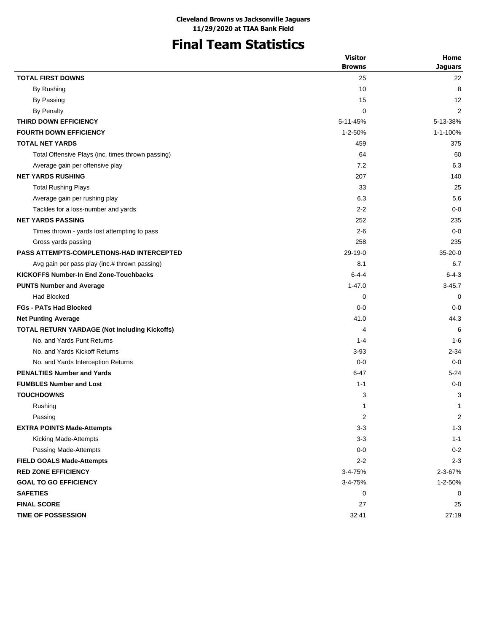## **Final Team Statistics**

|                                                   | <b>Visitor</b> | Home           |
|---------------------------------------------------|----------------|----------------|
|                                                   | <b>Browns</b>  | <b>Jaquars</b> |
| <b>TOTAL FIRST DOWNS</b>                          | 25             | 22             |
| By Rushing                                        | 10             | 8              |
| By Passing                                        | 15             | 12             |
| <b>By Penalty</b>                                 | 0              | 2              |
| THIRD DOWN EFFICIENCY                             | 5-11-45%       | 5-13-38%       |
| <b>FOURTH DOWN EFFICIENCY</b>                     | $1 - 2 - 50%$  | 1-1-100%       |
| <b>TOTAL NET YARDS</b>                            | 459            | 375            |
| Total Offensive Plays (inc. times thrown passing) | 64             | 60             |
| Average gain per offensive play                   | 7.2            | 6.3            |
| <b>NET YARDS RUSHING</b>                          | 207            | 140            |
| <b>Total Rushing Plays</b>                        | 33             | 25             |
| Average gain per rushing play                     | 6.3            | 5.6            |
| Tackles for a loss-number and yards               | $2 - 2$        | $0 - 0$        |
| <b>NET YARDS PASSING</b>                          | 252            | 235            |
| Times thrown - yards lost attempting to pass      | $2 - 6$        | $0 - 0$        |
| Gross yards passing                               | 258            | 235            |
| <b>PASS ATTEMPTS-COMPLETIONS-HAD INTERCEPTED</b>  | $29-19-0$      | $35-20-0$      |
| Avg gain per pass play (inc.# thrown passing)     | 8.1            | 6.7            |
| <b>KICKOFFS Number-In End Zone-Touchbacks</b>     | $6 - 4 - 4$    | $6 - 4 - 3$    |
| <b>PUNTS Number and Average</b>                   | $1 - 47.0$     | $3 - 45.7$     |
| <b>Had Blocked</b>                                | 0              | 0              |
| <b>FGs - PATs Had Blocked</b>                     | $0 - 0$        | $0 - 0$        |
| <b>Net Punting Average</b>                        | 41.0           | 44.3           |
| TOTAL RETURN YARDAGE (Not Including Kickoffs)     | 4              | 6              |
| No. and Yards Punt Returns                        | $1 - 4$        | $1 - 6$        |
| No. and Yards Kickoff Returns                     | $3 - 93$       | $2 - 34$       |
| No. and Yards Interception Returns                | $0 - 0$        | $0 - 0$        |
| <b>PENALTIES Number and Yards</b>                 | $6 - 47$       | $5 - 24$       |
| <b>FUMBLES Number and Lost</b>                    | $1 - 1$        | $0 - 0$        |
| <b>TOUCHDOWNS</b>                                 | 3              | 3              |
| Rushing                                           | 1              | 1              |
| Passing                                           | 2              | 2              |
| <b>EXTRA POINTS Made-Attempts</b>                 | $3 - 3$        | $1 - 3$        |
| Kicking Made-Attempts                             | $3 - 3$        | $1 - 1$        |
| Passing Made-Attempts                             | $0-0$          | $0 - 2$        |
| <b>FIELD GOALS Made-Attempts</b>                  | $2 - 2$        | $2 - 3$        |
| <b>RED ZONE EFFICIENCY</b>                        | 3-4-75%        | 2-3-67%        |
| <b>GOAL TO GO EFFICIENCY</b>                      | 3-4-75%        | 1-2-50%        |
| <b>SAFETIES</b>                                   | 0              | 0              |
| <b>FINAL SCORE</b>                                | 27             | 25             |
| <b>TIME OF POSSESSION</b>                         | 32:41          | 27:19          |
|                                                   |                |                |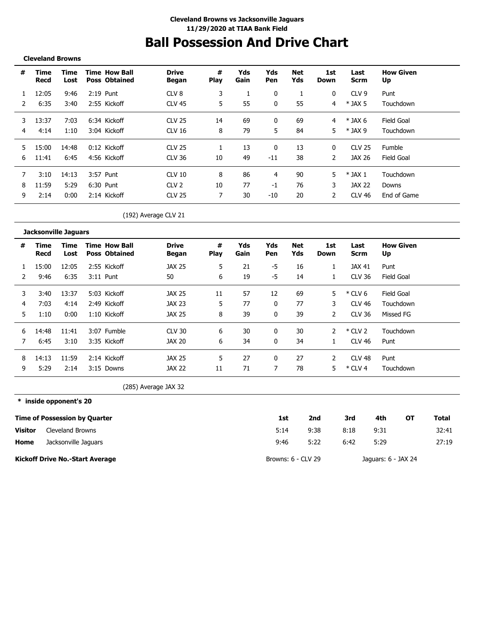# **Ball Possession And Drive Chart**

#### **Cleveland Browns**

\_\_\_\_\_\_\_\_\_\_\_\_\_\_\_\_\_\_\_\_\_\_\_\_\_\_

| # | Time<br>Recd | Time<br>Lost | <b>Time How Ball</b><br><b>Poss Obtained</b> | <b>Drive</b><br>Began | #<br><b>Play</b> | Yds<br>Gain | Yds<br>Pen | <b>Net</b><br>Yds | 1st<br>Down    | Last<br>Scrm    | <b>How Given</b><br>Up |
|---|--------------|--------------|----------------------------------------------|-----------------------|------------------|-------------|------------|-------------------|----------------|-----------------|------------------------|
|   | 12:05        | 9:46         | $2:19$ Punt                                  | CLV <sub>8</sub>      | 3                |             | 0          |                   | 0              | CLV 9           | Punt                   |
|   | 6:35         | 3:40         | 2:55 Kickoff                                 | <b>CLV 45</b>         | 5                | 55          |            | 55                | 4              | $*$ JAX 5       | Touchdown              |
| 3 | 13:37        | 7:03         | 6:34 Kickoff                                 | <b>CLV 25</b>         | 14               | 69          | $\Omega$   | 69                | 4              | $*$ JAX 6       | Field Goal             |
| 4 | 4:14         | 1:10         | 3:04 Kickoff                                 | CLV 16                | 8                | 79          | 5          | 84                | 5              | $*$ JAX 9       | Touchdown              |
| 5 | 15:00        | 14:48        | $0:12$ Kickoff                               | <b>CLV 25</b>         |                  | 13          | $\Omega$   | 13                | 0              | <b>CLV 25</b>   | Fumble                 |
| 6 | 11:41        | 6:45         | 4:56 Kickoff                                 | CLV 36                | 10               | 49          | $-11$      | 38                | $\overline{2}$ | JAX 26          | Field Goal             |
|   | 3:10         | 14:13        | 3:57 Punt                                    | <b>CLV 10</b>         | 8                | 86          | 4          | 90                | 5              | $\ast$<br>JAX 1 | Touchdown              |
| 8 | 11:59        | 5:29         | 6:30 Punt                                    | CIV2                  | 10               | 77          | $-1$       | 76                | 3              | JAX 22          | Downs                  |
| 9 | 2:14         | 0:00         | 2:14 Kickoff                                 | <b>CLV 25</b>         |                  | 30          | $-10$      | 20                | 2              | CLV 46          | End of Game            |

(192) Average CLV 21

|    | <b>Jacksonville Jaguars</b> |              |                                              |                       |                  |             |            |            |                |                     |                        |
|----|-----------------------------|--------------|----------------------------------------------|-----------------------|------------------|-------------|------------|------------|----------------|---------------------|------------------------|
| #  | Time<br>Recd                | Time<br>Lost | <b>Time How Ball</b><br><b>Poss Obtained</b> | <b>Drive</b><br>Began | #<br><b>Play</b> | Yds<br>Gain | Yds<br>Pen | Net<br>Yds | 1st<br>Down    | Last<br><b>Scrm</b> | <b>How Given</b><br>Up |
|    | 15:00                       | 12:05        | 2:55 Kickoff                                 | <b>JAX 25</b>         | 5.               | 21          | -5         | 16         |                | JAX 41              | Punt                   |
| 2  | 9:46                        | 6:35         | $3:11$ Punt                                  | 50                    | 6                | 19          | -5         | 14         |                | <b>CLV 36</b>       | Field Goal             |
| 3  | 3:40                        | 13:37        | 5:03 Kickoff                                 | JAX 25                | 11               | 57          | 12         | 69         | 5              | $*$ CLV 6           | Field Goal             |
| 4  | 7:03                        | 4:14         | 2:49 Kickoff                                 | JAX 23                | 5.               | 77          | 0          | 77         | 3              | <b>CLV 46</b>       | Touchdown              |
| 5. | 1:10                        | 0:00         | 1:10 Kickoff                                 | <b>JAX 25</b>         | 8                | 39          | 0          | 39         | $\overline{2}$ | <b>CLV 36</b>       | Missed FG              |
| 6  | 14:48                       | 11:41        | 3:07 Fumble                                  | <b>CLV 30</b>         | 6                | 30          | 0          | 30         | $\mathcal{P}$  | $*$ CLV 2           | Touchdown              |
|    | 6:45                        | 3:10         | 3:35 Kickoff                                 | JAX 20                | 6                | 34          | 0          | 34         |                | <b>CLV 46</b>       | Punt                   |
| 8  | 14:13                       | 11:59        | 2:14 Kickoff                                 | JAX 25                | 5                | 27          | 0          | 27         | 2              | CLV <sub>48</sub>   | Punt                   |
| 9  | 5:29                        | 2:14         | 3:15 Downs                                   | <b>JAX 22</b>         | 11               | 71          |            | 78         | 5.             | $*$ CLV 4           | Touchdown              |

(285) Average JAX 32

**\* inside opponent's 20**

|                | <b>Time of Possession by Quarter</b>   | 1st                | 2nd  | 3rd  | 4th                 | от | Total |
|----------------|----------------------------------------|--------------------|------|------|---------------------|----|-------|
| <b>Visitor</b> | Cleveland Browns                       | 5:14               | 9:38 | 8:18 | 9:31                |    | 32:41 |
| Home           | Jacksonville Jaquars                   | 9:46               | 5:22 | 6:42 | 5:29                |    | 27:19 |
|                | <b>Kickoff Drive No.-Start Average</b> | Browns: 6 - CLV 29 |      |      | Jaguars: 6 - JAX 24 |    |       |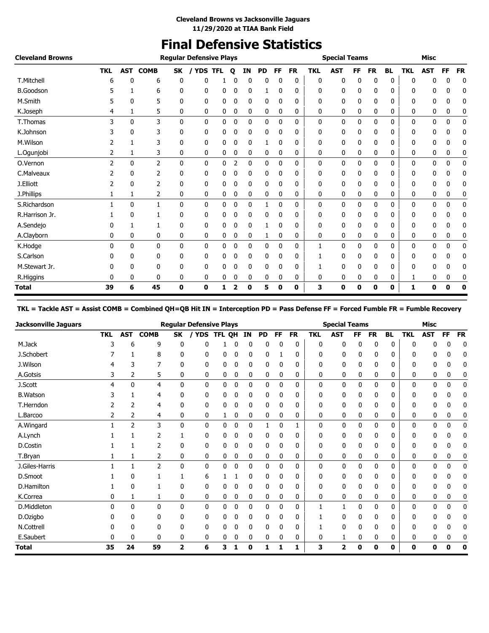### **Final Defensive Statistics**

| <b>Cleveland Browns</b> |            |              |                |              | <b>Regular Defensive Plays</b> |            |              |              |           |              |           |            | <b>Special Teams</b> |    |           |              |            | <b>Misc</b>  |    |           |
|-------------------------|------------|--------------|----------------|--------------|--------------------------------|------------|--------------|--------------|-----------|--------------|-----------|------------|----------------------|----|-----------|--------------|------------|--------------|----|-----------|
|                         | <b>TKL</b> | AST          | <b>COMB</b>    | SK           | / YDS                          | <b>TFL</b> | $\mathbf{o}$ | <b>IN</b>    | <b>PD</b> | FF           | <b>FR</b> | <b>TKL</b> | <b>AST</b>           | FF | <b>FR</b> | <b>BL</b>    | <b>TKL</b> | <b>AST</b>   | FF | <b>FR</b> |
| T.Mitchell              | 6          | 0            | 6              | 0            | 0                              |            | 0            | 0            | 0         | 0            | 0         | 0          | 0                    | 0  | 0         | 0            | 0          | 0            | 0  | 0         |
| <b>B.Goodson</b>        |            |              | 6              | 0            | 0                              | 0          | 0            | 0            |           | 0            | 0         | 0          | 0                    | 0  | 0         | 0            | 0          | 0            | 0  | 0         |
| M.Smith                 |            | 0            | 5              | 0            | 0                              | 0          | 0            | 0            | 0         | 0            | 0         | 0          | 0                    | 0  | 0         | 0            | 0          | 0            | 0  | 0         |
| K.Joseph                | 4          | 1            | 5              | 0            | 0                              | 0          | 0            | 0            | 0         | 0            | 0         | 0          | 0                    | 0  | 0         | 0            | 0          | 0            | 0  | 0         |
| T.Thomas                | 3          | $\mathbf{0}$ | 3              | $\mathbf{0}$ | 0                              | 0          | 0            | 0            | 0         | 0            | 0         | 0          | 0                    | 0  | 0         | $\mathbf{0}$ | 0          | 0            | 0  | 0         |
| K.Johnson               |            | 0            | 3              | 0            | 0                              | 0          | 0            | 0            | 0         | 0            | 0         | 0          | 0                    | 0  | 0         | 0            | 0          | 0            | 0  | 0         |
| M.Wilson                |            |              | 3              | 0            | 0                              | 0          | 0            | 0            |           | 0            | 0         | 0          | 0                    | 0  | 0         | 0            | 0          | 0            | 0  | 0         |
| L.Ogunjobi              | 2          | 1            | 3              | 0            | 0                              | 0          | 0            | 0            | 0         | 0            | 0         | 0          | 0                    | 0  | 0         | 0            | 0          | 0            | 0  | 0         |
| O.Vernon                | 2          | $\mathbf{0}$ | $\overline{2}$ | $\mathbf{0}$ | 0                              | 0          | 2            | $\mathbf{0}$ | 0         | 0            | 0         | 0          | 0                    | 0  | 0         | 0            | 0          | 0            | 0  | 0         |
| C.Malveaux              |            | 0            | 2              | 0            | 0                              | 0          | 0            | 0            | 0         | 0            | 0         | 0          | 0                    | 0  | 0         | 0            | 0          | 0            | 0  | 0         |
| J.Elliott               | 2          | 0            | 2              | 0            | 0                              | 0          | 0            | 0            | 0         | 0            | 0         | 0          | 0                    | 0  | 0         | 0            | 0          | 0            | 0  | 0         |
| J.Phillips              | 1          | 1            | 2              | 0            | 0                              | 0          | 0            | 0            | 0         | 0            | 0         | 0          | 0                    | 0  | 0         | 0            | 0          | 0            | 0  | 0         |
| S.Richardson            |            | $\mathbf{0}$ | 1              | $\mathbf{0}$ | 0                              | 0          | 0            | $\mathbf{0}$ | 1         | 0            | 0         | 0          | 0                    | 0  | 0         | 0            | 0          | $\mathbf{0}$ | 0  | 0         |
| R.Harrison Jr.          |            | 0            |                | 0            | 0                              | 0          | 0            | 0            | 0         | $\mathbf{0}$ | 0         | 0          | 0                    | 0  | 0         | 0            | 0          | 0            | 0  | 0         |
| A.Sendejo               |            |              |                | 0            | 0                              | 0          | 0            | 0            | 1         | 0            | 0         | 0          | 0                    | 0  | 0         | 0            | 0          | 0            | 0  | 0         |
| A.Clayborn              | 0          | 0            | 0              | 0            | 0                              | 0          | 0            | 0            | 1         | 0            | 0         | 0          | 0                    | 0  | 0         | 0            | 0          | 0            | 0  | 0         |
| K.Hodge                 | $\Omega$   | $\mathbf{0}$ | 0              | $\mathbf{0}$ | 0                              | 0          | 0            | 0            | 0         | $\mathbf 0$  | 0         | 1          | 0                    | 0  | 0         | 0            | 0          | 0            | 0  | 0         |
| S.Carlson               | 0          | 0            | 0              | 0            | 0                              | 0          | 0            | 0            | 0         | $\mathbf{0}$ | 0         |            | 0                    | 0  | 0         | 0            | 0          | 0            | 0  | 0         |
| M.Stewart Jr.           |            | 0            | 0              | 0            | 0                              | 0          |              | 0            | 0         | 0            | 0         |            | 0                    | 0  | 0         | 0            | 0          | 0            | 0  | 0         |
| R.Higgins               | 0          | 0            | 0              | 0            | 0                              | 0          | 0            | 0            | 0         | 0            | 0         | 0          | 0                    | 0  | 0         | 0            | 1          | 0            | 0  | 0         |
| <b>Total</b>            | 39         | 6            | 45             | 0            | 0                              | 1          |              | 0            | 5         | 0            | 0         | 3          | 0                    | 0  | 0         | 0            | 1          | 0            | 0  | 0         |

### **TKL = Tackle AST = Assist COMB = Combined QH=QB Hit IN = Interception PD = Pass Defense FF = Forced Fumble FR = Fumble Recovery**

| <b>Jacksonville Jaguars</b> |            |            |                |    | <b>Regular Defensive Plays</b> |        |   |           |           |    |           |            | <b>Special Teams</b> |    |              |           |            | <b>Misc</b> |    |             |
|-----------------------------|------------|------------|----------------|----|--------------------------------|--------|---|-----------|-----------|----|-----------|------------|----------------------|----|--------------|-----------|------------|-------------|----|-------------|
|                             | <b>TKL</b> | <b>AST</b> | <b>COMB</b>    | SK | <b>YDS</b>                     | TFL QH |   | <b>IN</b> | <b>PD</b> | FF | <b>FR</b> | <b>TKL</b> | <b>AST</b>           | FF | <b>FR</b>    | <b>BL</b> | <b>TKL</b> | <b>AST</b>  | FF | <b>FR</b>   |
| M.Jack                      | 3          | 6          | 9              | 0  | C                              |        | 0 |           | 0         | 0  | 0         | 0          | 0                    | 0  | 0            | 0         |            |             | C  | 0           |
| J.Schobert                  |            |            | 8              | 0  | 0                              | 0      | 0 | 0         | 0         |    | 0         | 0          | 0                    | 0  | 0            | 0         |            |             | 0  | 0           |
| J.Wilson                    | 4          | 3          | 7              | 0  | 0                              | 0      | 0 | 0         | 0         | 0  | 0         | 0          | 0                    | 0  | 0            | 0         | 0          | 0           | 0  | 0           |
| A.Gotsis                    | 3          | 2          | 5              | 0  | 0                              | 0      | 0 | 0         | 0         | 0  | 0         | 0          | 0                    | 0  | 0            | 0         | 0          | 0           | 0  | 0           |
| J.Scott                     | 4          | 0          | 4              | 0  | $\mathbf{0}$                   | 0      | 0 | 0         | 0         | 0  | 0         | 0          | 0                    | 0  | 0            | 0         | 0          | 0           | 0  | 0           |
| <b>B.Watson</b>             |            |            | 4              | 0  | 0                              | 0      | 0 | 0         | 0         | 0  | 0         | 0          | 0                    | 0  | 0            | 0         | 0          | 0           | 0  | 0           |
| T.Herndon                   |            |            | 4              | 0  | 0                              | 0      | 0 | 0         | 0         | 0  | 0         | 0          | 0                    | 0  | 0            | 0         |            |             | 0  | 0           |
| L.Barcoo                    | 2          | 2          | 4              | 0  | 0                              | 1      | 0 | 0         | 0         | 0  | 0         | 0          | 0                    | 0  | 0            | 0         | 0          | 0           | 0  | 0           |
| A.Wingard                   |            | 2          | 3              | 0  | 0                              | 0      | 0 | 0         |           | 0  |           | 0          | 0                    | 0  | 0            | 0         | 0          | 0           | 0  | 0           |
| A.Lynch                     |            |            |                |    | 0                              |        | 0 |           | 0         |    | 0         | 0          | 0                    | 0  | 0            | 0         |            |             |    | 0           |
| D.Costin                    |            |            | 2              | 0  | 0                              | 0      | 0 | 0         | 0         | 0  | 0         | 0          | 0                    | 0  | 0            | 0         | 0          | 0           | 0  | 0           |
| T.Bryan                     |            | 1          | 2              | 0  | 0                              | 0      | 0 | 0         | 0         | 0  | 0         | 0          | 0                    | 0  | 0            | 0         | 0          | 0           | 0  | 0           |
| J.Giles-Harris              |            |            | $\overline{2}$ | 0  | 0                              | 0      | 0 | 0         | 0         | 0  | 0         | 0          | 0                    | 0  | 0            | 0         | 0          | 0           | 0  | 0           |
| D.Smoot                     |            | 0          |                |    | 6                              |        |   |           | 0         | 0  | 0         | 0          | 0                    | 0  | 0            | 0         | 0          |             |    | 0           |
| D.Hamilton                  |            | 0          |                | 0  | 0                              |        | 0 | 0         | 0         | 0  | 0         | 0          | 0                    | 0  | 0            | 0         |            |             | 0  | 0           |
| K.Correa                    | 0          | 1          |                | 0  | 0                              | 0      | 0 | 0         | 0         | 0  | 0         | 0          | 0                    | 0  | 0            | 0         | 0          | 0           | 0  | 0           |
| D.Middleton                 | $\Omega$   | 0          | $\mathbf{0}$   | 0  | $\mathbf{0}$                   | 0      | 0 | 0         | 0         | 0  | 0         | 1          | 1                    | 0  | $\mathbf{0}$ | 0         | 0          | 0           | 0  | 0           |
| D.Ozigbo                    |            | U          | 0              | 0  | 0                              | 0      | 0 |           | 0         | 0  | 0         |            | 0                    | 0  | 0            | 0         | 0          |             |    | 0           |
| N.Cottrell                  | 0          | 0          | 0              | 0  | 0                              | 0      | 0 | 0         | 0         | 0  | 0         |            | 0                    | 0  | 0            | 0         | 0          | 0           | 0  | 0           |
| E.Saubert                   | 0          | 0          | 0              | 0  | 0                              | 0      | 0 | 0         | 0         | 0  | 0         | 0          |                      | 0  | 0            | 0         | 0          |             | 0  |             |
| <b>Total</b>                | 35         | 24         | 59             | 2  | 6                              | 3      | 1 | 0         | 1         | 1  | 1         | 3          | 2                    | 0  | 0            | 0         | 0          | ŋ           | 0  | $\mathbf 0$ |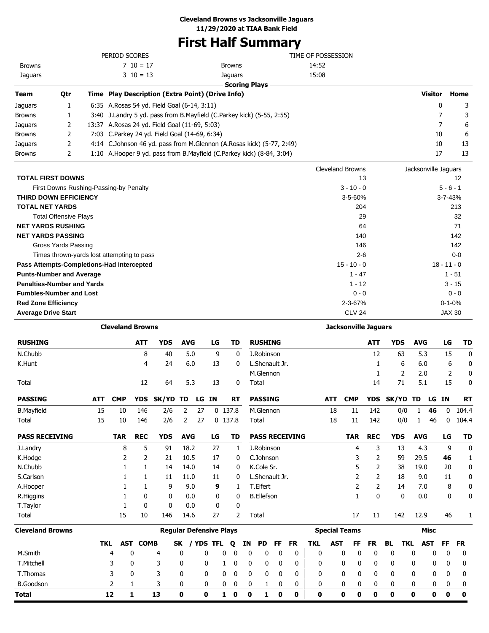### **First Half Summary**

|                              |     | PERIOD SCORES                                    |                                                                          | TIME OF POSSESSION |                      |               |
|------------------------------|-----|--------------------------------------------------|--------------------------------------------------------------------------|--------------------|----------------------|---------------|
| <b>Browns</b>                |     | $7\;10=17$                                       | <b>Browns</b>                                                            | 14:52              |                      |               |
| Jaguars                      |     | $3 \t10 = 13$                                    | Jaguars                                                                  | 15:08              |                      |               |
|                              |     |                                                  | <b>Scoring Plays</b>                                                     |                    |                      |               |
| Team                         | Qtr | Time Play Description (Extra Point) (Drive Info) |                                                                          |                    | <b>Visitor</b>       | Home          |
| <b>Jaquars</b>               |     | 6:35 A. Rosas 54 yd. Field Goal (6-14, 3:11)     |                                                                          |                    | $\mathbf{0}$         | 3             |
| <b>Browns</b>                |     |                                                  | 3:40 J.Landry 5 yd. pass from B.Mayfield (C.Parkey kick) (5-55, 2:55)    |                    |                      | 3             |
| Jaguars                      | 2   | 13:37 A.Rosas 24 yd. Field Goal (11-69, 5:03)    |                                                                          |                    |                      | 6             |
| <b>Browns</b>                |     | 7:03 C.Parkey 24 yd. Field Goal (14-69, 6:34)    |                                                                          |                    | 10                   | 6             |
| <b>Jaquars</b>               |     |                                                  | 4:14 C.Johnson 46 yd. pass from M.Glennon (A.Rosas kick) (5-77, 2:49)    |                    | 10                   | 13            |
| <b>Browns</b>                | 2   |                                                  | 1:10 A. Hooper 9 yd. pass from B. Mayfield (C. Parkey kick) (8-84, 3:04) |                    | 17                   | 13            |
|                              |     |                                                  |                                                                          | Cleveland Browns   | Jacksonville Jaquars |               |
| <b>TOTAL FIRST DOWNS</b>     |     |                                                  |                                                                          | 13                 |                      | 12            |
|                              |     | First Downs Rushing-Passing-by Penalty           |                                                                          | $3 - 10 - 0$       |                      | $5 - 6 - 1$   |
| <b>THIRD DOWN EFFICIENCY</b> |     |                                                  |                                                                          | $3 - 5 - 60%$      |                      | $3 - 7 - 43%$ |

| <b>TOTAL NET YARDS</b>                     | 204           | 213           |
|--------------------------------------------|---------------|---------------|
| <b>Total Offensive Plays</b>               | 29            | 32            |
| <b>NET YARDS RUSHING</b>                   | 64            | 71            |
| <b>NET YARDS PASSING</b>                   | 140           | 142           |
| Gross Yards Passing                        | 146           | 142           |
| Times thrown-yards lost attempting to pass | $2 - 6$       | $0-0$         |
| Pass Attempts-Completions-Had Intercepted  | $15 - 10 - 0$ | $18 - 11 - 0$ |
| <b>Punts-Number and Average</b>            | $1 - 47$      | $1 - 51$      |
| <b>Penalties-Number and Yards</b>          | $1 - 12$      | $3 - 15$      |
| <b>Fumbles-Number and Lost</b>             | $0 - 0$       | $0 - 0$       |
| <b>Red Zone Efficiency</b>                 | $2 - 3 - 67%$ | $0 - 1 - 0%$  |
| <b>Average Drive Start</b>                 | <b>CLV 24</b> | <b>JAX 30</b> |

|                         |            | <b>Cleveland Browns</b> |                 |                                |            |    |           |           |             |              |                   |              |                       |            |            |                      | <b>Jacksonville Jaguars</b> |              |            |            |             |              |              |
|-------------------------|------------|-------------------------|-----------------|--------------------------------|------------|----|-----------|-----------|-------------|--------------|-------------------|--------------|-----------------------|------------|------------|----------------------|-----------------------------|--------------|------------|------------|-------------|--------------|--------------|
| <b>RUSHING</b>          |            |                         | <b>ATT</b>      | <b>YDS</b>                     | <b>AVG</b> |    | LG        |           | <b>TD</b>   |              | <b>RUSHING</b>    |              |                       |            |            |                      | <b>ATT</b>                  | <b>YDS</b>   |            | <b>AVG</b> |             | LG           | <b>TD</b>    |
| N.Chubb                 |            |                         | 8               | 40                             | 5.0        |    | 9         |           | $\mathbf 0$ |              | J.Robinson        |              |                       |            |            |                      | 12                          |              | 63         | 5.3        |             | 15           | 0            |
| K.Hunt                  |            |                         | 4               | 24                             | 6.0        |    | 13        |           | 0           |              | L.Shenault Jr.    |              |                       |            |            |                      | 1                           |              | 6          | 6.0        |             | 6            | 0            |
|                         |            |                         |                 |                                |            |    |           |           |             |              | M.Glennon         |              |                       |            |            |                      | 1                           |              | 2          | 2.0        |             | 2            | 0            |
| Total                   |            |                         | 12              | 64                             | 5.3        |    | 13        |           | 0           |              | Total             |              |                       |            |            |                      | 14                          |              | 71         | 5.1        |             | 15           | 0            |
| <b>PASSING</b>          | <b>ATT</b> | <b>CMP</b>              | <b>YDS</b>      | <b>SK/YD</b>                   | TD         |    | LG IN     |           | <b>RT</b>   |              | <b>PASSING</b>    |              |                       |            | <b>ATT</b> | <b>CMP</b>           | <b>YDS</b>                  | <b>SK/YD</b> |            | TD         | LG IN       |              | <b>RT</b>    |
| <b>B.Mayfield</b>       | 15         | 10                      | 146             | 2/6                            | 2          | 27 |           | $0$ 137.8 |             |              | M.Glennon         |              |                       |            | 18         | 11                   | 142                         |              | 0/0        | 1          | 46          | $\mathbf{0}$ | 104.4        |
| Total                   | 15         | 10                      | 146             | 2/6                            | 2          | 27 |           | 0, 137.8  |             |              | Total             |              |                       |            | 18         | 11                   | 142                         |              | 0/0        | 1          | 46          | 0            | 104.4        |
| <b>PASS RECEIVING</b>   |            | <b>TAR</b>              | <b>REC</b>      | <b>YDS</b>                     | <b>AVG</b> |    | LG        |           | TD          |              |                   |              | <b>PASS RECEIVING</b> |            |            | <b>TAR</b>           | <b>REC</b>                  | <b>YDS</b>   |            | <b>AVG</b> |             | LG           | <b>TD</b>    |
| J.Landry                |            | 8                       | 5               | 91                             | 18.2       |    | 27        |           | 1           |              | J.Robinson        |              |                       |            |            | 4                    | 3                           |              | 13         | 4.3        |             | 9            | $\mathbf 0$  |
| K.Hodge                 |            | 2                       | 2               | 21                             | 10.5       |    | 17        |           | 0           |              | C.Johnson         |              |                       |            |            | 3                    | 2                           |              | 59         | 29.5       |             | 46           | $\mathbf{1}$ |
| N.Chubb                 |            |                         | 1               | 14                             | 14.0       |    | 14        |           | 0           |              | K.Cole Sr.        |              |                       |            |            | 5                    | 2                           |              | 38         | 19.0       |             | 20           | 0            |
| S.Carlson               |            |                         | 1               | 11                             | 11.0       |    | 11        |           | 0           |              | L.Shenault Jr.    |              |                       |            |            | 2                    | 2                           |              | 18         | 9.0        |             | 11           | 0            |
| A.Hooper                |            |                         | 1               | 9                              | 9.0        |    | 9         |           | 1           |              | T.Eifert          |              |                       |            |            | 2                    | $\overline{2}$              |              | 14         | 7.0        |             | 8            | 0            |
| R.Higgins               |            |                         | 0               | 0                              | 0.0        |    | 0         |           | 0           |              | <b>B.Ellefson</b> |              |                       |            |            | 1                    | 0                           |              | 0          | 0.0        |             | 0            | 0            |
| T.Taylor                |            |                         | $\mathbf{0}$    | $\mathbf{0}$                   | 0.0        |    | 0         |           | $\mathbf 0$ |              |                   |              |                       |            |            |                      |                             |              |            |            |             |              |              |
| Total                   |            | 15                      | 10              | 146                            | 14.6       |    | 27        |           | 2           |              | Total             |              |                       |            |            | 17                   | 11                          |              | 142        | 12.9       |             | 46           | 1            |
| <b>Cleveland Browns</b> |            |                         |                 | <b>Reqular Defensive Plays</b> |            |    |           |           |             |              |                   |              |                       |            |            | <b>Special Teams</b> |                             |              |            |            | <b>Misc</b> |              |              |
|                         | <b>TKL</b> |                         | <b>AST COMB</b> |                                | <b>SK</b>  |    | / YDS TFL | Q         |             | ΙN           | <b>PD</b>         | FF           | <b>FR</b>             | <b>TKL</b> | <b>AST</b> | FF                   | <b>FR</b>                   | <b>BL</b>    | <b>TKL</b> |            | <b>AST</b>  | FF           | <b>FR</b>    |
| M.Smith                 |            | 4                       | 0               | 4                              | 0          |    | 0         | 0         | 0           | 0            | 0                 | 0            | 0                     | 0          |            | 0<br>0               | 0                           | 0            |            | 0          | 0           | 0            | 0            |
| T.Mitchell              |            | 3                       | 0               | 3                              | 0          |    | 0         | 1         | 0           | $\mathbf{0}$ | $\mathbf{0}$      | $\mathbf{0}$ | 0                     | 0          |            | 0<br>0               | 0                           | 0            |            | 0          | 0           | 0            | 0            |
| T.Thomas                |            | 3                       | 0               | 3                              | 0          |    | 0         | 0         | 0           | 0            | $\mathbf{0}$      | 0            | 0                     | 0          |            | 0<br>0               | 0                           | 0            |            | 0          | 0           | 0            | 0            |
| <b>B.Goodson</b>        |            | 2                       | 1               | 3                              | 0          |    | 0         | 0         | 0           | 0            | 1                 | $\mathbf 0$  | 0                     | 0          |            | 0<br>0               | 0                           | 0            |            | 0          | 0           | 0            | 0            |
| Total                   |            | 12                      | 1               | 13                             | 0          | 0  |           | 1<br>0    |             | 0            | 1                 | 0            | 0                     | 0          |            | 0<br>0               | 0                           | 0            |            | 0          | 0           | 0            | 0            |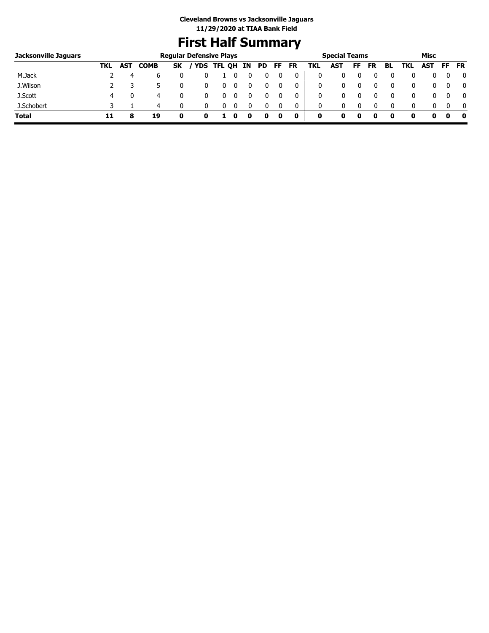### **First Half Summary**

| Jacksonville Jaguars |     |     |             | <b>Regular Defensive Plays</b> |       |        |    |     |     |           |     | <b>Special Teams</b> |    |          |              |     | Misc |     |              |
|----------------------|-----|-----|-------------|--------------------------------|-------|--------|----|-----|-----|-----------|-----|----------------------|----|----------|--------------|-----|------|-----|--------------|
|                      | TKL | AST | <b>COMB</b> | <b>SK</b>                      | ' YDS | TFL QH | IN | PD. | FF. | <b>FR</b> | TKL | AST                  | FF | FR       | BL           | TKL | AST  | FF. | <b>FR</b>    |
| M.Jack               |     | 4   | 6           |                                |       |        |    |     |     | 0         |     |                      |    |          | 0            |     |      |     | 0            |
| J.Wilson             |     |     |             |                                |       |        |    |     |     | 0         |     | 0                    |    |          | 0            | 0   |      |     | $\mathbf{0}$ |
| J.Scott              | 4   |     | 4           |                                |       |        |    |     |     | 0         |     | 0                    |    |          | 0            | 0   |      |     | $\mathbf{0}$ |
| J.Schobert           |     |     | 4           |                                |       |        |    |     |     | 0         | 0   | 0                    |    | $\Omega$ | $\mathbf{0}$ | 0   |      |     | $\mathbf{0}$ |
| <b>Total</b>         |     |     | 19          | O                              | u     |        | o  |     | 0   | 0         | 0   |                      | 0  |          | 0            | 0   |      |     | 0            |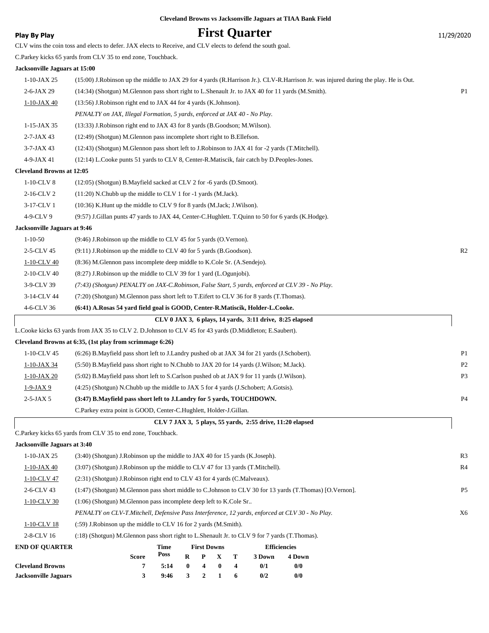### **Play By Play Play Play By Play First Quarter** 11/29/2020

|                                  | CLV wins the coin toss and elects to defer. JAX elects to Receive, and CLV elects to defend the south goal.                         |                |
|----------------------------------|-------------------------------------------------------------------------------------------------------------------------------------|----------------|
|                                  | C.Parkey kicks 65 yards from CLV 35 to end zone, Touchback.                                                                         |                |
| Jacksonville Jaguars at 15:00    |                                                                                                                                     |                |
| $1-10$ -JAX 25                   | (15:00) J.Robinson up the middle to JAX 29 for 4 yards (R.Harrison Jr.). CLV-R.Harrison Jr. was injured during the play. He is Out. |                |
| $2-6$ -JAX 29                    | (14:34) (Shotgun) M.Glennon pass short right to L.Shenault Jr. to JAX 40 for 11 yards (M.Smith).                                    | P <sub>1</sub> |
| 1-10-JAX 40                      | (13:56) J. Robinson right end to JAX 44 for 4 yards (K. Johnson).                                                                   |                |
|                                  | PENALTY on JAX, Illegal Formation, 5 yards, enforced at JAX 40 - No Play.                                                           |                |
| $1-15$ -JAX 35                   | (13:33) J.Robinson right end to JAX 43 for 8 yards (B.Goodson; M.Wilson).                                                           |                |
| $2 - 7 - JAX 43$                 | (12:49) (Shotgun) M.Glennon pass incomplete short right to B.Ellefson.                                                              |                |
| $3-7$ -JAX 43                    | (12:43) (Shotgun) M.Glennon pass short left to J.Robinson to JAX 41 for -2 yards (T.Mitchell).                                      |                |
| 4-9-JAX 41                       | (12:14) L.Cooke punts 51 yards to CLV 8, Center-R.Matiscik, fair catch by D.Peoples-Jones.                                          |                |
| <b>Cleveland Browns at 12:05</b> |                                                                                                                                     |                |
| 1-10-CLV 8                       | $(12:05)$ (Shotgun) B.Mayfield sacked at CLV 2 for -6 yards (D.Smoot).                                                              |                |
| 2-16-CLV 2                       | (11:20) N.Chubb up the middle to CLV 1 for -1 yards (M.Jack).                                                                       |                |
| 3-17-CLV 1                       | (10:36) K. Hunt up the middle to CLV 9 for 8 yards (M. Jack; J. Wilson).                                                            |                |
| 4-9-CLV 9                        | (9:57) J.Gillan punts 47 yards to JAX 44, Center-C.Hughlett. T.Quinn to 50 for 6 yards (K.Hodge).                                   |                |
| Jacksonville Jaguars at 9:46     |                                                                                                                                     |                |
| $1 - 10 - 50$                    | (9:46) J.Robinson up the middle to CLV 45 for 5 yards (O.Vernon).                                                                   |                |
| 2-5-CLV 45                       | (9:11) J.Robinson up the middle to CLV 40 for 5 yards (B.Goodson).                                                                  | R <sub>2</sub> |
| 1-10-CLV 40                      | (8:36) M.Glennon pass incomplete deep middle to K.Cole Sr. (A.Sendejo).                                                             |                |
| 2-10-CLV 40                      | $(8:27)$ J. Robinson up the middle to CLV 39 for 1 yard (L. Ogunjobi).                                                              |                |
| 3-9-CLV 39                       | (7:43) (Shotgun) PENALTY on JAX-C.Robinson, False Start, 5 yards, enforced at CLV 39 - No Play.                                     |                |
| 3-14-CLV 44                      | (7:20) (Shotgun) M.Glennon pass short left to T.Eifert to CLV 36 for 8 yards (T.Thomas).                                            |                |
| 4-6-CLV 36                       | (6:41) A.Rosas 54 yard field goal is GOOD, Center-R.Matiscik, Holder-L.Cooke.                                                       |                |
|                                  | CLV 0 JAX 3, 6 plays, 14 yards, 3:11 drive, 8:25 elapsed                                                                            |                |
|                                  | L.Cooke kicks 63 yards from JAX 35 to CLV 2. D.Johnson to CLV 45 for 43 yards (D.Middleton; E.Saubert).                             |                |
|                                  | Cleveland Browns at 6:35, (1st play from scrimmage 6:26)                                                                            |                |
| 1-10-CLV 45                      | (6.26) B.Mayfield pass short left to J.Landry pushed ob at JAX 34 for 21 yards (J.Schobert).                                        | P <sub>1</sub> |
| 1-10-JAX 34                      | (5:50) B.Mayfield pass short right to N.Chubb to JAX 20 for 14 yards (J.Wilson; M.Jack).                                            | P <sub>2</sub> |
| 1-10-JAX 20                      | (5:02) B. Mayfield pass short left to S. Carlson pushed ob at JAX 9 for 11 yards (J. Wilson).                                       | P <sub>3</sub> |
| $1-9-JAX9$                       | (4:25) (Shotgun) N.Chubb up the middle to JAX 5 for 4 yards (J.Schobert; A.Gotsis).                                                 |                |
| 2-5-JAX 5                        | (3:47) B.Mayfield pass short left to J.Landry for 5 yards, TOUCHDOWN.                                                               | P <sub>4</sub> |
|                                  | C.Parkey extra point is GOOD, Center-C.Hughlett, Holder-J.Gillan.                                                                   |                |
|                                  | CLV 7 JAX 3, 5 plays, 55 yards, 2:55 drive, 11:20 elapsed                                                                           |                |
|                                  | C.Parkey kicks 65 yards from CLV 35 to end zone, Touchback.                                                                         |                |
| Jacksonville Jaguars at 3:40     |                                                                                                                                     |                |
| $1-10$ -JAX 25                   | (3:40) (Shotgun) J. Robinson up the middle to JAX 40 for 15 yards (K. Joseph).                                                      | R <sub>3</sub> |
| $1-10-$ JAX 40                   | (3:07) (Shotgun) J.Robinson up the middle to CLV 47 for 13 yards (T.Mitchell).                                                      | R <sub>4</sub> |
| 1-10-CLV 47                      | (2:31) (Shotgun) J.Robinson right end to CLV 43 for 4 yards (C.Malveaux).                                                           |                |
| 2-6-CLV 43                       | (1:47) (Shotgun) M.Glennon pass short middle to C.Johnson to CLV 30 for 13 yards (T.Thomas) [O.Vernon].                             | P <sub>5</sub> |
| $1-10$ -CLV 30                   | (1:06) (Shotgun) M.Glennon pass incomplete deep left to K.Cole Sr                                                                   |                |
|                                  | PENALTY on CLV-T.Mitchell, Defensive Pass Interference, 12 yards, enforced at CLV 30 - No Play.                                     | X6             |
| 1-10-CLV 18                      | (:59) J. Robinson up the middle to CLV 16 for 2 yards (M. Smith).                                                                   |                |
| 2-8-CLV 16                       | (:18) (Shotgun) M.Glennon pass short right to L.Shenault Jr. to CLV 9 for 7 yards (T.Thomas).                                       |                |
| <b>END OF QUARTER</b>            | <b>First Downs</b><br><b>Efficiencies</b><br><b>Time</b><br>Poss                                                                    |                |
|                                  | T<br><b>Score</b><br>R<br>$\mathbf X$<br>3 Down<br>4 Down<br>P                                                                      |                |

**Cleveland Browns 7 5:14 0 4 0 4 0/1 0/0 Jacksonville Jaguars 3 9:46 3 2 1 6 0/2 0/0**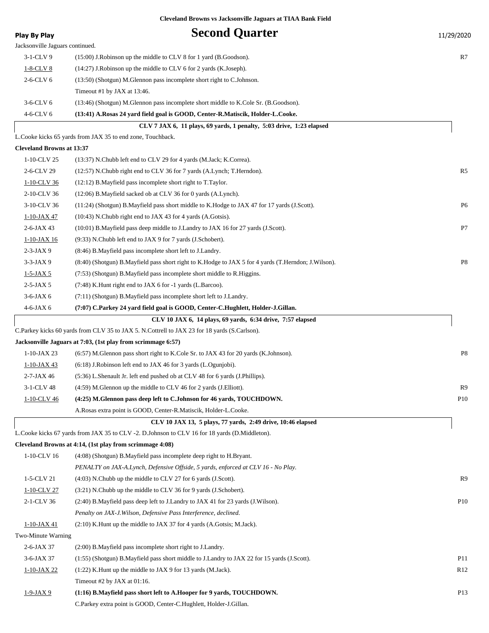| <b>Play By Play</b>              | <b>Second Quarter</b>                                                                               | 11/29/2020      |
|----------------------------------|-----------------------------------------------------------------------------------------------------|-----------------|
| Jacksonville Jaguars continued.  |                                                                                                     |                 |
| 3-1-CLV 9                        | $(15:00)$ J. Robinson up the middle to CLV 8 for 1 yard (B. Goodson).                               | R7              |
| $1-8$ -CLV 8                     | (14:27) J.Robinson up the middle to CLV 6 for 2 yards (K.Joseph).                                   |                 |
| $2-6$ -CLV $6$                   | (13:50) (Shotgun) M.Glennon pass incomplete short right to C.Johnson.                               |                 |
|                                  | Timeout #1 by JAX at 13:46.                                                                         |                 |
| $3-6$ -CLV $6$                   | (13:46) (Shotgun) M.Glennon pass incomplete short middle to K.Cole Sr. (B.Goodson).                 |                 |
| 4-6-CLV 6                        | (13:41) A.Rosas 24 yard field goal is GOOD, Center-R.Matiscik, Holder-L.Cooke.                      |                 |
|                                  | CLV 7 JAX 6, 11 plays, 69 yards, 1 penalty, 5:03 drive, 1:23 elapsed                                |                 |
|                                  | L.Cooke kicks 65 yards from JAX 35 to end zone, Touchback.                                          |                 |
| <b>Cleveland Browns at 13:37</b> |                                                                                                     |                 |
| 1-10-CLV 25                      | (13:37) N.Chubb left end to CLV 29 for 4 yards (M.Jack; K.Correa).                                  |                 |
| 2-6-CLV 29                       | (12:57) N.Chubb right end to CLV 36 for 7 yards (A.Lynch; T.Herndon).                               | R5              |
| 1-10-CLV 36                      | (12:12) B. Mayfield pass incomplete short right to T. Taylor.                                       |                 |
| 2-10-CLV 36                      | (12:06) B. Mayfield sacked ob at CLV 36 for 0 yards (A. Lynch).                                     |                 |
| 3-10-CLV 36                      | (11:24) (Shotgun) B. Mayfield pass short middle to K. Hodge to JAX 47 for 17 yards (J. Scott).      | P <sub>6</sub>  |
| 1-10-JAX 47                      | $(10:43)$ N.Chubb right end to JAX 43 for 4 yards $(A.Gotsis)$ .                                    |                 |
| $2-6$ -JAX 43                    | (10:01) B. Mayfield pass deep middle to J. Landry to JAX 16 for 27 yards (J. Scott).                | P7              |
| 1-10-JAX 16                      | (9:33) N.Chubb left end to JAX 9 for 7 yards (J.Schobert).                                          |                 |
| $2-3-JAX9$                       | (8:46) B.Mayfield pass incomplete short left to J.Landry.                                           |                 |
| $3-3-JAX9$                       | (8:40) (Shotgun) B.Mayfield pass short right to K.Hodge to JAX 5 for 4 yards (T.Herndon; J.Wilson). | P8              |
| $1 - 5 - JAX 5$                  | (7:53) (Shotgun) B.Mayfield pass incomplete short middle to R.Higgins.                              |                 |
| $2-5-JAX5$                       | (7:48) K.Hunt right end to JAX 6 for -1 yards (L.Barcoo).                                           |                 |
| $3-6$ -JAX $6$                   | (7:11) (Shotgun) B.Mayfield pass incomplete short left to J.Landry.                                 |                 |
| $4-6$ -JAX $6$                   | (7:07) C.Parkey 24 yard field goal is GOOD, Center-C.Hughlett, Holder-J.Gillan.                     |                 |
|                                  | CLV 10 JAX 6, 14 plays, 69 yards, 6:34 drive, 7:57 elapsed                                          |                 |
|                                  | C.Parkey kicks 60 yards from CLV 35 to JAX 5. N.Cottrell to JAX 23 for 18 yards (S.Carlson).        |                 |
|                                  | Jacksonville Jaguars at 7:03, (1st play from scrimmage 6:57)                                        |                 |
| $1-10$ -JAX 23                   | (6:57) M. Glennon pass short right to K. Cole Sr. to JAX 43 for 20 yards (K. Johnson).              | P <sub>8</sub>  |
| $1 - 10 - JAX 43$                | $(6:18)$ J. Robinson left end to JAX 46 for 3 yards (L. Ogunjobi).                                  |                 |
| $2-7$ -JAX 46                    | (5:36) L.Shenault Jr. left end pushed ob at CLV 48 for 6 yards (J.Phillips).                        |                 |
| 3-1-CLV 48                       | (4:59) M.Glennon up the middle to CLV 46 for 2 yards (J.Elliott).                                   | R9              |
| 1-10-CLV 46                      | (4:25) M.Glennon pass deep left to C.Johnson for 46 yards, TOUCHDOWN.                               | P <sub>10</sub> |
|                                  | A. Rosas extra point is GOOD, Center-R. Matiscik, Holder-L. Cooke.                                  |                 |
|                                  | CLV 10 JAX 13, 5 plays, 77 yards, 2:49 drive, 10:46 elapsed                                         |                 |
|                                  | L.Cooke kicks 67 yards from JAX 35 to CLV -2. D.Johnson to CLV 16 for 18 yards (D.Middleton).       |                 |
|                                  | Cleveland Browns at 4:14, (1st play from scrimmage 4:08)                                            |                 |
| 1-10-CLV 16                      | (4:08) (Shotgun) B. Mayfield pass incomplete deep right to H. Bryant.                               |                 |
|                                  | PENALTY on JAX-A.Lynch, Defensive Offside, 5 yards, enforced at CLV 16 - No Play.                   |                 |
| 1-5-CLV 21                       | (4:03) N.Chubb up the middle to CLV 27 for 6 yards (J.Scott).                                       | R9              |
| 1-10-CLV 27                      | (3:21) N.Chubb up the middle to CLV 36 for 9 yards (J.Schobert).                                    |                 |
| 2-1-CLV 36                       | (2:40) B. Mayfield pass deep left to J. Landry to JAX 41 for 23 yards (J. Wilson).                  | <b>P10</b>      |
|                                  | Penalty on JAX-J. Wilson, Defensive Pass Interference, declined.                                    |                 |
| 1-10-JAX 41                      | $(2:10)$ K. Hunt up the middle to JAX 37 for 4 yards $(A.Gotsis; M.Jack)$ .                         |                 |
| Two-Minute Warning               |                                                                                                     |                 |
| $2-6$ -JAX 37                    | (2:00) B. Mayfield pass incomplete short right to J. Landry.                                        |                 |
| $3-6$ -JAX 37                    | (1:55) (Shotgun) B.Mayfield pass short middle to J.Landry to JAX 22 for 15 yards (J.Scott).         | <b>P11</b>      |
| $1 - 10 - JAX 22$                | $(1:22)$ K. Hunt up the middle to JAX 9 for 13 yards (M. Jack).                                     | R <sub>12</sub> |
|                                  | Timeout #2 by JAX at 01:16.                                                                         |                 |
| $1-9-JAX9$                       | (1:16) B.Mayfield pass short left to A.Hooper for 9 yards, TOUCHDOWN.                               | P <sub>13</sub> |
|                                  | C.Parkey extra point is GOOD, Center-C.Hughlett, Holder-J.Gillan.                                   |                 |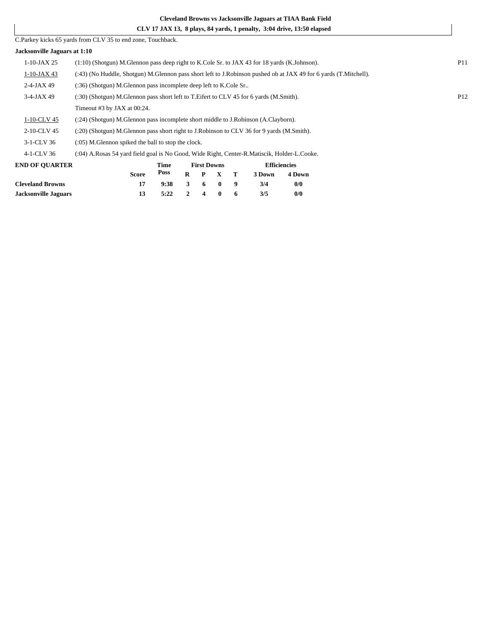|                              | CLV 17 JAX 13, 8 plays, 84 yards, 1 penalty, 3:04 drive, 13:50 elapsed                                    |                                                                                                                 |          |                    |              |   |        |                     |  |  |  |
|------------------------------|-----------------------------------------------------------------------------------------------------------|-----------------------------------------------------------------------------------------------------------------|----------|--------------------|--------------|---|--------|---------------------|--|--|--|
|                              | C. Parkey kicks 65 yards from CLV 35 to end zone, Touchback.                                              |                                                                                                                 |          |                    |              |   |        |                     |  |  |  |
| Jacksonville Jaguars at 1:10 |                                                                                                           |                                                                                                                 |          |                    |              |   |        |                     |  |  |  |
| $1-10$ -JAX 25               |                                                                                                           | <b>P11</b><br>$(1:10)$ (Shotgun) M.Glennon pass deep right to K.Cole Sr. to JAX 43 for 18 yards (K.Johnson).    |          |                    |              |   |        |                     |  |  |  |
| $1-10$ -JAX 43               |                                                                                                           | (43) (No Huddle, Shotgun) M.Glennon pass short left to J.Robinson pushed ob at JAX 49 for 6 yards (T.Mitchell). |          |                    |              |   |        |                     |  |  |  |
| $2-4-JAX 49$                 | (:36) (Shotgun) M.Glennon pass incomplete deep left to K.Cole Sr                                          |                                                                                                                 |          |                    |              |   |        |                     |  |  |  |
| $3-4$ -JAX 49                | P <sub>12</sub><br>(:30) (Shotgun) M.Glennon pass short left to T.Eifert to CLV 45 for 6 yards (M.Smith). |                                                                                                                 |          |                    |              |   |        |                     |  |  |  |
|                              | Timeout #3 by JAX at 00:24.                                                                               |                                                                                                                 |          |                    |              |   |        |                     |  |  |  |
| 1-10-CLV 45                  | (:24) (Shotgun) M.Glennon pass incomplete short middle to J.Robinson (A.Clayborn).                        |                                                                                                                 |          |                    |              |   |        |                     |  |  |  |
| 2-10-CLV 45                  | (:20) (Shotgun) M.Glennon pass short right to J.Robinson to CLV 36 for 9 yards (M.Smith).                 |                                                                                                                 |          |                    |              |   |        |                     |  |  |  |
| 3-1-CLV 36                   | $(0.05)$ M. Glennon spiked the ball to stop the clock.                                                    |                                                                                                                 |          |                    |              |   |        |                     |  |  |  |
| 4-1-CLV 36                   | (:04) A.Rosas 54 yard field goal is No Good, Wide Right, Center-R.Matiscik, Holder-L.Cooke.               |                                                                                                                 |          |                    |              |   |        |                     |  |  |  |
| <b>END OF OUARTER</b>        |                                                                                                           | Time                                                                                                            |          | <b>First Downs</b> |              |   |        | <b>Efficiencies</b> |  |  |  |
|                              | <b>Score</b>                                                                                              | Poss                                                                                                            | $\bf{R}$ | P                  | $\mathbf{x}$ | Т | 3 Down | 4 Down              |  |  |  |
| <b>Cleveland Browns</b>      | 17                                                                                                        | 9:38                                                                                                            | 3        | 6                  | $\mathbf{0}$ | 9 | 3/4    | 0/0                 |  |  |  |

**Jacksonville Jaguars 13 5:22 2 4 0 6 3/5 0/0**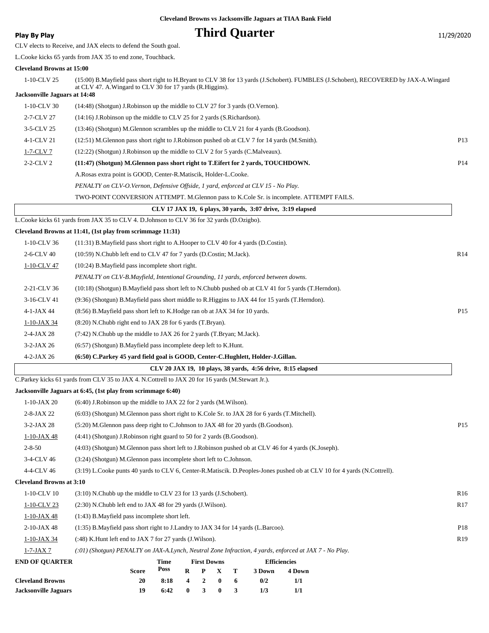## **Play By Play Play Play By Play Third Quarter** 11/29/2020

CLV elects to Receive, and JAX elects to defend the South goal.

L.Cooke kicks 65 yards from JAX 35 to end zone, Touchback.

#### **Cleveland Browns at 15:00**

| 1-10-CLV 25                          | (15:00) B.Mayfield pass short right to H.Bryant to CLV 38 for 13 yards (J.Schobert). FUMBLES (J.Schobert), RECOVERED by JAX-A.Wingard |                 |
|--------------------------------------|---------------------------------------------------------------------------------------------------------------------------------------|-----------------|
| <b>Jacksonville Jaguars at 14:48</b> | at CLV 47. A. Wingard to CLV 30 for 17 yards (R. Higgins).                                                                            |                 |
| 1-10-CLV 30                          | (14:48) (Shotgun) J. Robinson up the middle to CLV 27 for 3 yards (O. Vernon).                                                        |                 |
| 2-7-CLV 27                           | (14:16) J. Robinson up the middle to CLV 25 for 2 yards (S. Richardson).                                                              |                 |
| 3-5-CLV 25                           | (13:46) (Shotgun) M.Glennon scrambles up the middle to CLV 21 for 4 yards (B.Goodson).                                                |                 |
| 4-1-CLV 21                           | (12:51) M.Glennon pass short right to J.Robinson pushed ob at CLV 7 for 14 yards (M.Smith).                                           | P13             |
| 1-7-CLV 7                            | (12:22) (Shotgun) J.Robinson up the middle to CLV 2 for 5 yards (C.Malveaux).                                                         |                 |
| 2-2-CLV 2                            | (11:47) (Shotgun) M.Glennon pass short right to T.Eifert for 2 yards, TOUCHDOWN.                                                      | P <sub>14</sub> |
|                                      | A.Rosas extra point is GOOD, Center-R.Matiscik, Holder-L.Cooke.                                                                       |                 |
|                                      | PENALTY on CLV-O.Vernon, Defensive Offside, 1 yard, enforced at CLV 15 - No Play.                                                     |                 |
|                                      | TWO-POINT CONVERSION ATTEMPT. M.Glennon pass to K.Cole Sr. is incomplete. ATTEMPT FAILS.                                              |                 |
|                                      | CLV 17 JAX 19, 6 plays, 30 yards, 3:07 drive, 3:19 elapsed                                                                            |                 |
|                                      | L.Cooke kicks 61 yards from JAX 35 to CLV 4. D.Johnson to CLV 36 for 32 yards (D.Ozigbo).                                             |                 |
|                                      | Cleveland Browns at 11:41, (1st play from scrimmage 11:31)                                                                            |                 |
| 1-10-CLV 36                          | (11:31) B. Mayfield pass short right to A. Hooper to CLV 40 for 4 yards (D. Costin).                                                  |                 |
| 2-6-CLV 40                           | (10:59) N.Chubb left end to CLV 47 for 7 yards (D.Costin; M.Jack).                                                                    | R14             |
| 1-10-CLV 47                          | (10:24) B.Mayfield pass incomplete short right.                                                                                       |                 |
|                                      | PENALTY on CLV-B.Mayfield, Intentional Grounding, 11 yards, enforced between downs.                                                   |                 |
| 2-21-CLV 36                          | (10:18) (Shotgun) B. Mayfield pass short left to N. Chubb pushed ob at CLV 41 for 5 yards (T. Herndon).                               |                 |
| 3-16-CLV 41                          | (9:36) (Shotgun) B.Mayfield pass short middle to R.Higgins to JAX 44 for 15 yards (T.Herndon).                                        |                 |
| $4-1-JAX44$                          | (8.56) B. Mayfield pass short left to K. Hodge ran ob at JAX 34 for 10 yards.                                                         | P <sub>15</sub> |
| 1-10-JAX 34                          | $(8:20)$ N.Chubb right end to JAX 28 for 6 yards $(T.Bryan)$ .                                                                        |                 |
| $2-4-JAX28$                          | (7:42) N.Chubb up the middle to JAX 26 for 2 yards (T.Bryan; M.Jack).                                                                 |                 |
| $3-2-JAX26$                          | (6:57) (Shotgun) B.Mayfield pass incomplete deep left to K.Hunt.                                                                      |                 |
| $4-2-JAX26$                          | (6:50) C.Parkey 45 yard field goal is GOOD, Center-C.Hughlett, Holder-J.Gillan.                                                       |                 |
|                                      | CLV 20 JAX 19, 10 plays, 38 yards, 4:56 drive, 8:15 elapsed                                                                           |                 |
|                                      | C.Parkey kicks 61 yards from CLV 35 to JAX 4. N.Cottrell to JAX 20 for 16 yards (M.Stewart Jr.).                                      |                 |
|                                      | Jacksonville Jaguars at 6:45, (1st play from scrimmage 6:40)                                                                          |                 |
| $1-10$ -JAX 20                       | $(6:40)$ J. Robinson up the middle to JAX 22 for 2 yards (M. Wilson).                                                                 |                 |
| $2-8-JAX 22$                         | (6:03) (Shotgun) M.Glennon pass short right to K.Cole Sr. to JAX 28 for 6 yards (T.Mitchell).                                         |                 |
| $3-2-JAX28$                          | (5:20) M.Glennon pass deep right to C.Johnson to JAX 48 for 20 yards (B.Goodson).                                                     | P <sub>15</sub> |
| $1-10$ -JAX 48                       | (4:41) (Shotgun) J.Robinson right guard to 50 for 2 yards (B.Goodson).                                                                |                 |
| $2 - 8 - 50$                         | (4:03) (Shotgun) M.Glennon pass short left to J.Robinson pushed ob at CLV 46 for 4 yards (K.Joseph).                                  |                 |
| 3-4-CLV 46                           | (3:24) (Shotgun) M.Glennon pass incomplete short left to C.Johnson.                                                                   |                 |
| 4-4-CLV 46                           | (3:19) L.Cooke punts 40 yards to CLV 6, Center-R.Matiscik. D.Peoples-Jones pushed ob at CLV 10 for 4 yards (N.Cottrell).              |                 |
| <b>Cleveland Browns at 3:10</b>      |                                                                                                                                       |                 |
| 1-10-CLV 10                          | (3:10) N.Chubb up the middle to CLV 23 for 13 yards (J.Schobert).                                                                     | R <sub>16</sub> |
| $1-10$ -CLV 23                       | $(2:30)$ N.Chubb left end to JAX 48 for 29 yards $(J.Wilson)$ .                                                                       | R17             |
| $1-10$ -JAX 48                       | (1:43) B.Mayfield pass incomplete short left.                                                                                         |                 |
| 2-10-JAX 48                          | (1:35) B. Mayfield pass short right to J. Landry to JAX 34 for 14 yards (L. Barcoo).                                                  | P18             |
| $1 - 10 - JAX 34$                    | (:48) K. Hunt left end to JAX 7 for 27 yards (J. Wilson).                                                                             | R <sub>19</sub> |
| $1-7-JAX7$                           | (:01) (Shotgun) PENALTY on JAX-A.Lynch, Neutral Zone Infraction, 4 yards, enforced at JAX 7 - No Play.                                |                 |
| <b>END OF QUARTER</b>                | <b>First Downs</b><br><b>Efficiencies</b><br>Time<br>Poss<br><b>Score</b><br>R<br>P<br>X<br>т<br>3 Down<br>4 Down                     |                 |

|                         | <b>Score</b> |                            |  |  | Poss R P X T 3Down | 4 Dow |
|-------------------------|--------------|----------------------------|--|--|--------------------|-------|
| <b>Cleveland Browns</b> | 20           | $8:18$ 4 2 0 6             |  |  | 0/2                | 1/1   |
| Jacksonville Jaguars    |              | $6:42 \t 0 \t 3 \t 0 \t 3$ |  |  | 1/3                | 1/1   |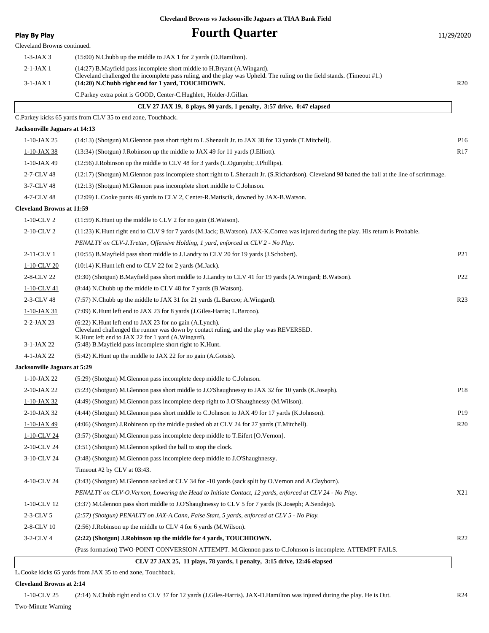**Play By Play Ry Play Fourth Quarter** 11/29/2020

| Play by Play                     | val di vuu ki                                                                                                                                                                                                                                                          | 11/ <i>29</i> /2020 |
|----------------------------------|------------------------------------------------------------------------------------------------------------------------------------------------------------------------------------------------------------------------------------------------------------------------|---------------------|
| Cleveland Browns continued.      |                                                                                                                                                                                                                                                                        |                     |
| $1-3-JAX3$                       | (15:00) N.Chubb up the middle to JAX 1 for 2 yards (D.Hamilton).                                                                                                                                                                                                       |                     |
| $2-1-JAX1$                       | (14:27) B. Mayfield pass incomplete short middle to H. Bryant (A. Wingard).<br>Cleveland challenged the incomplete pass ruling, and the play was Upheld. The ruling on the field stands. (Timeout #1.)                                                                 |                     |
| $3-1-JAX$ 1                      | (14:20) N.Chubb right end for 1 yard, TOUCHDOWN.                                                                                                                                                                                                                       | R20                 |
|                                  | C.Parkey extra point is GOOD, Center-C.Hughlett, Holder-J.Gillan.                                                                                                                                                                                                      |                     |
|                                  | CLV 27 JAX 19, 8 plays, 90 yards, 1 penalty, 3:57 drive, 0:47 elapsed                                                                                                                                                                                                  |                     |
|                                  | C.Parkey kicks 65 yards from CLV 35 to end zone, Touchback.                                                                                                                                                                                                            |                     |
| Jacksonville Jaguars at 14:13    |                                                                                                                                                                                                                                                                        |                     |
| $1-10-JAX 25$                    | (14:13) (Shotgun) M.Glennon pass short right to L.Shenault Jr. to JAX 38 for 13 yards (T.Mitchell).                                                                                                                                                                    | P <sub>16</sub>     |
| $1-10-JAX38$                     | (13:34) (Shotgun) J.Robinson up the middle to JAX 49 for 11 yards (J.Elliott).                                                                                                                                                                                         | R <sub>17</sub>     |
| 1-10-JAX 49                      | (12:56) J.Robinson up the middle to CLV 48 for 3 yards (L.Ogunjobi; J.Phillips).                                                                                                                                                                                       |                     |
| 2-7-CLV 48                       | (12:17) (Shotgun) M.Glennon pass incomplete short right to L.Shenault Jr. (S.Richardson). Cleveland 98 batted the ball at the line of scrimmage.                                                                                                                       |                     |
| 3-7-CLV 48                       | (12:13) (Shotgun) M.Glennon pass incomplete short middle to C.Johnson.                                                                                                                                                                                                 |                     |
| 4-7-CLV 48                       | (12:09) L.Cooke punts 46 yards to CLV 2, Center-R.Matiscik, downed by JAX-B.Watson.                                                                                                                                                                                    |                     |
| <b>Cleveland Browns at 11:59</b> |                                                                                                                                                                                                                                                                        |                     |
| $1-10$ -CLV 2                    | $(11:59)$ K. Hunt up the middle to CLV 2 for no gain (B. Watson).                                                                                                                                                                                                      |                     |
| 2-10-CLV 2                       | (11:23) K.Hunt right end to CLV 9 for 7 yards (M.Jack; B.Watson). JAX-K.Correa was injured during the play. His return is Probable.                                                                                                                                    |                     |
|                                  | PENALTY on CLV-J.Tretter, Offensive Holding, 1 yard, enforced at CLV 2 - No Play.                                                                                                                                                                                      |                     |
| 2-11-CLV 1                       | (10:55) B.Mayfield pass short middle to J.Landry to CLV 20 for 19 yards (J.Schobert).                                                                                                                                                                                  | P <sub>21</sub>     |
| 1-10-CLV 20                      | $(10:14)$ K. Hunt left end to CLV 22 for 2 yards (M. Jack).                                                                                                                                                                                                            |                     |
| 2-8-CLV 22                       | (9:30) (Shotgun) B.Mayfield pass short middle to J.Landry to CLV 41 for 19 yards (A.Wingard; B.Watson).                                                                                                                                                                | P <sub>22</sub>     |
| 1-10-CLV 41                      | (8:44) N.Chubb up the middle to CLV 48 for 7 yards (B.Watson).                                                                                                                                                                                                         |                     |
| 2-3-CLV 48                       | (7.57) N.Chubb up the middle to JAX 31 for 21 yards (L.Barcoo; A.Wingard).                                                                                                                                                                                             | R <sub>23</sub>     |
| $1-10$ -JAX 31                   | (7:09) K.Hunt left end to JAX 23 for 8 yards (J.Giles-Harris; L.Barcoo).                                                                                                                                                                                               |                     |
| $2 - 2 - JAX 23$<br>$3-1-JAX$ 22 | (6:22) K.Hunt left end to JAX 23 for no gain (A.Lynch).<br>Cleveland challenged the runner was down by contact ruling, and the play was REVERSED.<br>K. Hunt left end to JAX 22 for 1 yard (A. Wingard).<br>(5:48) B. Mayfield pass incomplete short right to K. Hunt. |                     |
| 4-1-JAX 22                       | (5:42) K.Hunt up the middle to JAX 22 for no gain (A.Gotsis).                                                                                                                                                                                                          |                     |
| Jacksonville Jaguars at 5:29     |                                                                                                                                                                                                                                                                        |                     |
| $1-10-JAX 22$                    | (5:29) (Shotgun) M.Glennon pass incomplete deep middle to C.Johnson.                                                                                                                                                                                                   |                     |
| 2-10-JAX 22                      | (5:23) (Shotgun) M.Glennon pass short middle to J.O'Shaughnessy to JAX 32 for 10 yards (K.Joseph).                                                                                                                                                                     | P <sub>18</sub>     |
| 1-10-JAX 32                      | (4:49) (Shotgun) M.Glennon pass incomplete deep right to J.O'Shaughnessy (M.Wilson).                                                                                                                                                                                   |                     |
| 2-10-JAX 32                      | (4:44) (Shotgun) M.Glennon pass short middle to C.Johnson to JAX 49 for 17 yards (K.Johnson).                                                                                                                                                                          | P <sub>19</sub>     |
| $1 - 10 - JAX49$                 | (4:06) (Shotgun) J.Robinson up the middle pushed ob at CLV 24 for 27 yards (T.Mitchell).                                                                                                                                                                               | R20                 |
| 1-10-CLV 24                      | (3:57) (Shotgun) M.Glennon pass incomplete deep middle to T.Eifert [O.Vernon].                                                                                                                                                                                         |                     |
| 2-10-CLV 24                      | (3:51) (Shotgun) M.Glennon spiked the ball to stop the clock.                                                                                                                                                                                                          |                     |
| 3-10-CLV 24                      | (3:48) (Shotgun) M.Glennon pass incomplete deep middle to J.O'Shaughnessy.                                                                                                                                                                                             |                     |
|                                  | Timeout #2 by CLV at 03:43.                                                                                                                                                                                                                                            |                     |
| 4-10-CLV 24                      | (3:43) (Shotgun) M.Glennon sacked at CLV 34 for -10 yards (sack split by O.Vernon and A.Clayborn).                                                                                                                                                                     |                     |
|                                  | PENALTY on CLV-O. Vernon, Lowering the Head to Initiate Contact, 12 yards, enforced at CLV 24 - No Play.                                                                                                                                                               | X21                 |
| 1-10-CLV 12                      | (3:37) M. Glennon pass short middle to J. O'Shaughnessy to CLV 5 for 7 yards (K. Joseph; A. Sendejo).                                                                                                                                                                  |                     |
|                                  |                                                                                                                                                                                                                                                                        |                     |
| $2-3$ -CLV 5                     | (2:57) (Shotgun) PENALTY on JAX-A.Cann, False Start, 5 yards, enforced at CLV 5 - No Play.                                                                                                                                                                             |                     |
| 2-8-CLV 10                       | (2:56) J.Robinson up the middle to CLV 4 for 6 yards (M.Wilson).                                                                                                                                                                                                       |                     |
| $3-2$ -CLV 4                     | (2:22) (Shotgun) J.Robinson up the middle for 4 yards, TOUCHDOWN.                                                                                                                                                                                                      | R <sub>22</sub>     |
|                                  | (Pass formation) TWO-POINT CONVERSION ATTEMPT. M.Glennon pass to C.Johnson is incomplete. ATTEMPT FAILS.                                                                                                                                                               |                     |
|                                  | CLV 27 JAX 25, 11 plays, 78 yards, 1 penalty, 3:15 drive, 12:46 elapsed                                                                                                                                                                                                |                     |

L.Cooke kicks 65 yards from JAX 35 to end zone, Touchback.

#### **Cleveland Browns at 2:14**

1-10-CLV 25 (2:14) N.Chubb right end to CLV 37 for 12 yards (J.Giles-Harris). JAX-D.Hamilton was injured during the play. He is Out. R24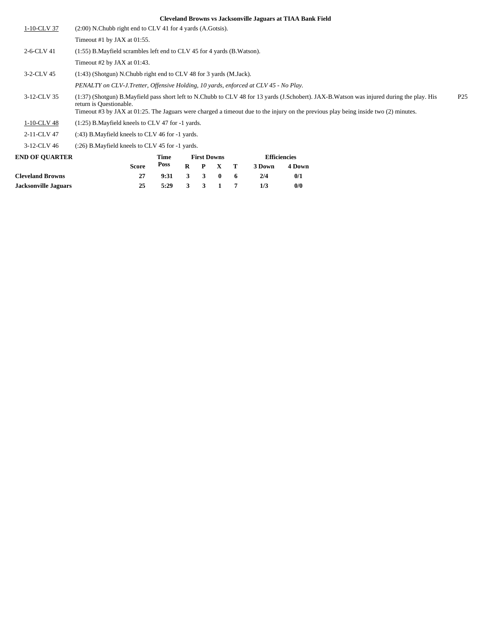| 1-10-CLV 37                                                                      | $(2:00)$ N.Chubb right end to CLV 41 for 4 yards $(A.Gotsis)$ .            |                                                                                                                                                                                                                                                                                                     |      |          |                    |              |    |        |                     |  |  |  |  |
|----------------------------------------------------------------------------------|----------------------------------------------------------------------------|-----------------------------------------------------------------------------------------------------------------------------------------------------------------------------------------------------------------------------------------------------------------------------------------------------|------|----------|--------------------|--------------|----|--------|---------------------|--|--|--|--|
|                                                                                  | Timeout #1 by JAX at $01:55$ .                                             |                                                                                                                                                                                                                                                                                                     |      |          |                    |              |    |        |                     |  |  |  |  |
| 2-6-CLV 41                                                                       | $(1:55)$ B. Mayfield scrambles left end to CLV 45 for 4 yards (B. Watson). |                                                                                                                                                                                                                                                                                                     |      |          |                    |              |    |        |                     |  |  |  |  |
|                                                                                  | Timeout #2 by JAX at $01:43$ .                                             |                                                                                                                                                                                                                                                                                                     |      |          |                    |              |    |        |                     |  |  |  |  |
| 3-2-CLV 45<br>(1:43) (Shotgun) N.Chubb right end to CLV 48 for 3 yards (M.Jack). |                                                                            |                                                                                                                                                                                                                                                                                                     |      |          |                    |              |    |        |                     |  |  |  |  |
|                                                                                  |                                                                            | PENALTY on CLV-J.Tretter, Offensive Holding, 10 yards, enforced at CLV 45 - No Play.                                                                                                                                                                                                                |      |          |                    |              |    |        |                     |  |  |  |  |
| 3-12-CLV 35                                                                      | return is Questionable.                                                    | (1:37) (Shotgun) B.Mayfield pass short left to N.Chubb to CLV 48 for 13 yards (J.Schobert). JAX-B.Watson was injured during the play. His<br>P <sub>25</sub><br>Timeout #3 by JAX at 01:25. The Jaguars were charged a timeout due to the injury on the previous play being inside two (2) minutes. |      |          |                    |              |    |        |                     |  |  |  |  |
| 1-10-CLV 48                                                                      | $(1:25)$ B. Mayfield kneels to CLV 47 for $-1$ yards.                      |                                                                                                                                                                                                                                                                                                     |      |          |                    |              |    |        |                     |  |  |  |  |
| 2-11-CLV 47                                                                      | (:43) B. Mayfield kneels to CLV 46 for -1 yards.                           |                                                                                                                                                                                                                                                                                                     |      |          |                    |              |    |        |                     |  |  |  |  |
| 3-12-CLV 46                                                                      | (:26) B. Mayfield kneels to CLV 45 for -1 yards.                           |                                                                                                                                                                                                                                                                                                     |      |          |                    |              |    |        |                     |  |  |  |  |
| <b>END OF OUARTER</b>                                                            |                                                                            |                                                                                                                                                                                                                                                                                                     | Time |          | <b>First Downs</b> |              |    |        | <b>Efficiencies</b> |  |  |  |  |
|                                                                                  |                                                                            | <b>Score</b>                                                                                                                                                                                                                                                                                        | Poss | $\bf{R}$ | $\mathbf{P}$       | $\mathbf{x}$ | т  | 3 Down | 4 Down              |  |  |  |  |
| <b>Cleveland Browns</b>                                                          |                                                                            | 27                                                                                                                                                                                                                                                                                                  | 9:31 | 3        | $\mathbf{3}$       | $\bf{0}$     | -6 | 2/4    | 0/1                 |  |  |  |  |
| <b>Jacksonville Jaguars</b>                                                      |                                                                            | 25                                                                                                                                                                                                                                                                                                  | 5:29 | 3        | 3                  | 1            | 7  | 1/3    | 0/0                 |  |  |  |  |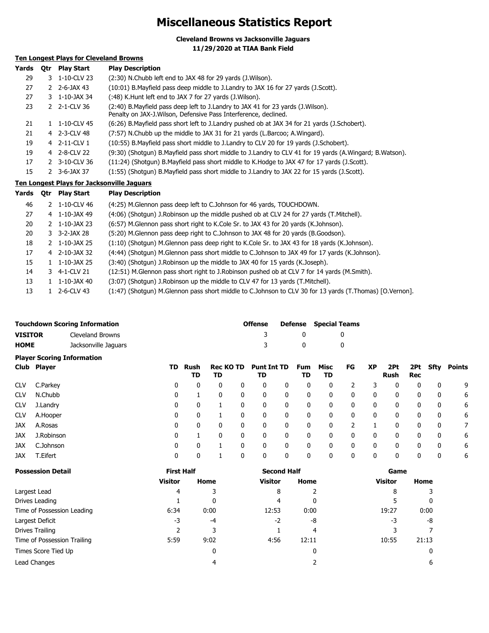# **Miscellaneous Statistics Report**

**Cleveland Browns vs Jacksonville Jaguars**

**11/29/2020 at TIAA Bank Field**

### **Ten Longest Plays for Cleveland Browns**

| Yards | 0tr | <b>Play Start</b>        | <b>Play Description</b>                                                                                                                             |
|-------|-----|--------------------------|-----------------------------------------------------------------------------------------------------------------------------------------------------|
| 29    |     | 3 1-10-CLV 23            | (2:30) N.Chubb left end to JAX 48 for 29 yards (J.Wilson).                                                                                          |
| 27    |     | $2 \t2 - 6 - JAX 43$     | (10:01) B. Mayfield pass deep middle to J. Landry to JAX 16 for 27 yards (J. Scott).                                                                |
| 27    |     | 3 1-10-JAX 34            | (:48) K.Hunt left end to JAX 7 for 27 yards (J.Wilson).                                                                                             |
| 23    |     | 2 2-1-CLV 36             | (2:40) B.Mayfield pass deep left to J.Landry to JAX 41 for 23 yards (J.Wilson).<br>Penalty on JAX-J. Wilson, Defensive Pass Interference, declined. |
| 21    |     | 1-10-CLV 45              | (6:26) B.Mayfield pass short left to J.Landry pushed ob at JAX 34 for 21 yards (J.Schobert).                                                        |
| 21    |     | 4 2-3-CLV 48             | (7:57) N.Chubb up the middle to JAX 31 for 21 yards (L.Barcoo; A.Wingard).                                                                          |
| 19    |     | 4 2-11-CLV 1             | (10:55) B. Mayfield pass short middle to J. Landry to CLV 20 for 19 yards (J. Schobert).                                                            |
| 19    |     | 4 2-8-CLV 22             | (9:30) (Shotgun) B.Mayfield pass short middle to J.Landry to CLV 41 for 19 yards (A.Wingard; B.Watson).                                             |
| 17    |     | 2 3-10-CLV 36            | (11:24) (Shotgun) B.Mayfield pass short middle to K.Hodge to JAX 47 for 17 yards (J.Scott).                                                         |
| 15    |     | $2 \quad 3 - 6 - JAX 37$ | (1:55) (Shotqun) B.Mayfield pass short middle to J.Landry to JAX 22 for 15 yards (J.Scott).                                                         |
|       |     |                          | Ten Longest Plays for Jacksonville Jaguars                                                                                                          |

|  |        |    | . CH EVINGS, I IGTS TOI SUCKSONTHIIC SUGGUIS |    |  |  |
|--|--------|----|----------------------------------------------|----|--|--|
|  |        |    |                                              |    |  |  |
|  | $\sim$ | -- |                                              | -- |  |  |

| Yards | <b>Otr</b> | <b>Play Start</b>          | <b>Play Description</b>                                                                                 |
|-------|------------|----------------------------|---------------------------------------------------------------------------------------------------------|
| 46    |            | 1-10-CLV 46                | (4:25) M. Glennon pass deep left to C. Johnson for 46 yards, TOUCHDOWN.                                 |
| 27    | 4          | 1-10-JAX 49                | (4:06) (Shotgun) J.Robinson up the middle pushed ob at CLV 24 for 27 yards (T.Mitchell).                |
| 20    |            | $2 \quad 1 - 10 - JAX\ 23$ | (6:57) M.Glennon pass short right to K.Cole Sr. to JAX 43 for 20 yards (K.Johnson).                     |
| 20    |            | 3 3-2-JAX 28               | (5:20) M.Glennon pass deep right to C.Johnson to JAX 48 for 20 yards (B.Goodson).                       |
| 18    | 2          | 1-10-JAX 25                | (1:10) (Shotqun) M.Glennon pass deep right to K.Cole Sr. to JAX 43 for 18 yards (K.Johnson).            |
| 17    | 4          | 2-10-JAX 32                | (4:44) (Shotgun) M.Glennon pass short middle to C.Johnson to JAX 49 for 17 yards (K.Johnson).           |
| 15    |            | 1-10-JAX 25                | (3:40) (Shotgun) J.Robinson up the middle to JAX 40 for 15 yards (K.Joseph).                            |
| 14    |            | 3 4-1-CLV 21               | (12:51) M.Glennon pass short right to J.Robinson pushed ob at CLV 7 for 14 yards (M.Smith).             |
| 13    |            | 1-10-JAX 40                | (3:07) (Shotgun) J.Robinson up the middle to CLV 47 for 13 yards (T.Mitchell).                          |
| 13    |            | 2-6-CLV 43                 | (1:47) (Shotqun) M.Glennon pass short middle to C.Johnson to CLV 30 for 13 yards (T.Thomas) [O.Vernon]. |

|                                   | <b>Touchdown Scoring Information</b> | <b>Offense</b> |              | <b>Defense</b> Special Teams |  |  |  |
|-----------------------------------|--------------------------------------|----------------|--------------|------------------------------|--|--|--|
| <b>VISITOR</b>                    | Cleveland Browns                     |                |              |                              |  |  |  |
| <b>HOME</b>                       | Jacksonville Jaquars                 |                | $\mathbf{u}$ |                              |  |  |  |
| <b>Player Scoring Information</b> |                                      |                |              |                              |  |  |  |

|            | -           |     |              |                        |   |                          |   |           |            |    |              |             |              |      |        |
|------------|-------------|-----|--------------|------------------------|---|--------------------------|---|-----------|------------|----|--------------|-------------|--------------|------|--------|
|            | Club Player | TD. | Rush<br>TD   | <b>Rec KO TD</b><br>TD |   | <b>Punt Int TD</b><br>TD |   | Fum<br>TD | Misc<br>TD | FG | XP           | 2Pt<br>Rush | 2Pt<br>Rec   | Sfty | Points |
| <b>CLV</b> | C.Parkey    | 0   | 0            | 0                      | 0 | 0                        | 0 | 0         | 0          |    |              | 0           | $\bf{0}$     | 0    | 9      |
| <b>CLV</b> | N.Chubb     | 0   |              | 0                      | 0 | 0                        | 0 | 0         | 0          | 0  | 0            | 0           | 0            | 0    | 6      |
| <b>CLV</b> | J.Landry    | 0   | 0            |                        |   | 0                        | 0 | 0         | 0          | 0  | 0            | 0           | 0            | 0    | 6      |
| <b>CLV</b> | A.Hooper    | 0   | $\mathbf{0}$ |                        | 0 | 0                        | 0 | 0         | 0          | 0  | $\mathbf{0}$ | 0           | $\mathbf{0}$ | 0    | 6      |
| <b>JAX</b> | A.Rosas     | 0   | 0            | 0                      | 0 | 0                        | 0 | 0         | 0          |    |              | 0           | $\bf{0}$     | 0    |        |
| <b>JAX</b> | J.Robinson  | 0   |              | 0                      | 0 | 0                        | 0 | 0         | 0          | 0  | 0            | 0           | $\bf{0}$     | 0    | 6      |
| <b>JAX</b> | C.Johnson   | 0   | 0            |                        |   | 0                        | 0 | 0         | 0          | 0  | 0            | 0           | $\mathbf{0}$ | 0    | 6      |
| <b>JAX</b> | T.Eifert    | 0   | 0            |                        |   | 0                        | 0 | 0         | 0          | 0  | 0            | 0           | $\Omega$     | 0    | 6      |
|            |             |     |              |                        |   |                          |   |           |            |    |              |             |              |      |        |

| <b>Possession Detail</b>    | <b>First Half</b> |              | <b>Second Half</b> |       | Game    |       |  |  |
|-----------------------------|-------------------|--------------|--------------------|-------|---------|-------|--|--|
|                             | <b>Visitor</b>    | Home         | <b>Visitor</b>     | Home  | Visitor | Home  |  |  |
| Largest Lead                | 4                 |              | 8                  |       | 8       |       |  |  |
| Drives Leading              |                   | $\mathbf{0}$ | 4                  | 0     |         | 0     |  |  |
| Time of Possession Leading  | 6:34              | 0:00         | 12:53              | 0:00  | 19:27   | 0:00  |  |  |
| Largest Deficit             | -3                | $-4$         | $-2$               | -8    | -3      | -8    |  |  |
| Drives Trailing             |                   |              |                    | 4     |         |       |  |  |
| Time of Possession Trailing | 5:59              | 9:02         | 4:56               | 12:11 | 10:55   | 21:13 |  |  |
| Times Score Tied Up         |                   | 0            |                    | 0     |         |       |  |  |
| Lead Changes                |                   | 4            |                    |       |         | 6     |  |  |